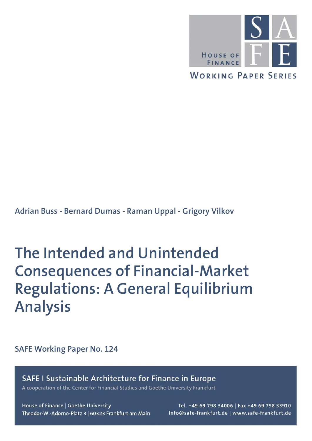

**Adrian Buss - Bernard Dumas - Raman Uppal - Grigory Vilkov** 

# **The Intended and Unintended Consequences of Financial-Market Regulations: A General Equilibrium Analysis**

### **SAFE Working Paper No. 124**

SAFE I Sustainable Architecture for Finance in Europe A cooperation of the Center for Financial Studies and Goethe University Frankfurt

House of Finance | Goethe University Theodor-W.-Adorno-Platz 3 | 60323 Frankfurt am Main

Tel. +49 69 798 34006 | Fax +49 69 798 33910 info@safe-frankfurt.de | www.safe-frankfurt.de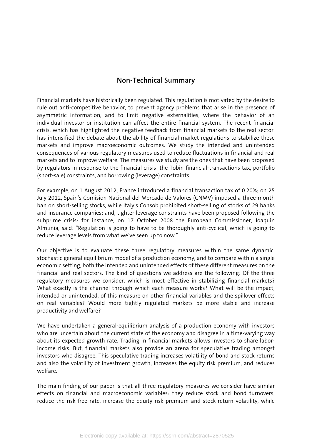### **Non-Technical Summary**

Financial markets have historically been regulated. This regulation is motivated by the desire to rule out anti-competitive behavior, to prevent agency problems that arise in the presence of asymmetric information, and to limit negative externalities, where the behavior of an individual investor or institution can affect the entire financial system. The recent financial crisis, which has highlighted the negative feedback from financial markets to the real sector, has intensified the debate about the ability of financial-market regulations to stabilize these markets and improve macroeconomic outcomes. We study the intended and unintended consequences of various regulatory measures used to reduce fluctuations in financial and real markets and to improve welfare. The measures we study are the ones that have been proposed by regulators in response to the financial crisis: the Tobin financial-transactions tax, portfolio (short-sale) constraints, and borrowing (leverage) constraints.

For example, on 1 August 2012, France introduced a financial transaction tax of 0.20%; on 25 July 2012, Spain's Comision Nacional del Mercado de Valores (CNMV) imposed a three-month ban on short-selling stocks, while Italy's Consob prohibited short-selling of stocks of 29 banks and insurance companies; and, tighter leverage constraints have been proposed following the subprime crisis: for instance, on 17 October 2008 the European Commissioner, Joaquin Almunia, said: "Regulation is going to have to be thoroughly anti-cyclical, which is going to reduce leverage levels from what we've seen up to now."

Our objective is to evaluate these three regulatory measures within the same dynamic, stochastic general equilibrium model of a production economy, and to compare within a single economic setting, both the intended and unintended effects of these different measures on the financial and real sectors. The kind of questions we address are the following: Of the three regulatory measures we consider, which is most effective in stabilizing financial markets? What exactly is the channel through which each measure works? What will be the impact, intended or unintended, of this measure on other financial variables and the spillover effects on real variables? Would more tightly regulated markets be more stable and increase productivity and welfare?

We have undertaken a general-equilibrium analysis of a production economy with investors who are uncertain about the current state of the economy and disagree in a time-varying way about its expected growth rate. Trading in financial markets allows investors to share laborincome risks. But, financial markets also provide an arena for speculative trading amongst investors who disagree. This speculative trading increases volatility of bond and stock returns and also the volatility of investment growth, increases the equity risk premium, and reduces welfare.

The main finding of our paper is that all three regulatory measures we consider have similar effects on financial and macroeconomic variables: they reduce stock and bond turnovers, reduce the risk-free rate, increase the equity risk premium and stock-return volatility, while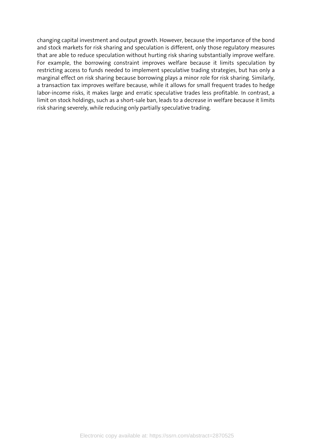changing capital investment and output growth. However, because the importance of the bond and stock markets for risk sharing and speculation is different, only those regulatory measures that are able to reduce speculation without hurting risk sharing substantially improve welfare. For example, the borrowing constraint improves welfare because it limits speculation by restricting access to funds needed to implement speculative trading strategies, but has only a marginal effect on risk sharing because borrowing plays a minor role for risk sharing. Similarly, a transaction tax improves welfare because, while it allows for small frequent trades to hedge labor-income risks, it makes large and erratic speculative trades less profitable. In contrast, a limit on stock holdings, such as a short-sale ban, leads to a decrease in welfare because it limits risk sharing severely, while reducing only partially speculative trading.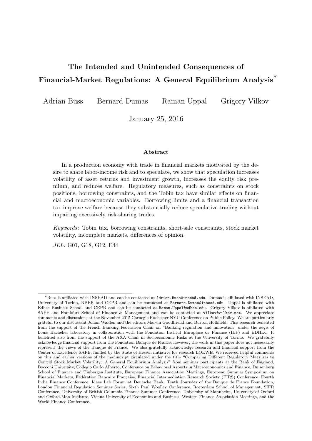### The Intended and Unintended Consequences of Financial-Market Regulations: A General Equilibrium Analysis<sup>\*</sup>

Adrian Buss Bernard Dumas Raman Uppal Grigory Vilkov

January 25, 2016

#### Abstract

In a production economy with trade in financial markets motivated by the desire to share labor-income risk and to speculate, we show that speculation increases volatility of asset returns and investment growth, increases the equity risk premium, and reduces welfare. Regulatory measures, such as constraints on stock positions, borrowing constraints, and the Tobin tax have similar effects on financial and macroeconomic variables. Borrowing limits and a financial transaction tax improve welfare because they substantially reduce speculative trading without impairing excessively risk-sharing trades.

Keywords: Tobin tax, borrowing constraints, short-sale constraints, stock market volatility, incomplete markets, differences of opinion.

JEL: G01, G18, G12, E44

<sup>∗</sup>Buss is affiliated with INSEAD and can be contacted at Adrian.Buss@insead.edu. Dumas is affiliated with INSEAD, University of Torino, NBER and CEPR and can be contacted at Bernard.Dumas@insead.edu. Uppal is affiliated with Edhec Business School and CEPR and can be contacted at Raman.Uppal@edhec.edu. Grigory Vilkov is affiliated with SAFE and Frankfurt School of Finance & Management and can be contacted at vilkov@vilkov.net. We appreciate comments and discussions at the November 2015 Carnegie Rochester NYU Conference on Public Policy. We are particularly grateful to our discussant Johan Walden and the editors Marvin Goodfriend and Burton Hollifield. This research benefited from the support of the French Banking Federation Chair on "Banking regulation and innovation" under the aegis of Louis Bachelier laboratory in collaboration with the Fondation Institut Europlace de Finance (IEF) and EDHEC. It benefited also from the support of the AXA Chair in Socioeconomic Risks at the University of Torino. We gratefully acknowledge financial support from the Fondation Banque de France; however, the work in this paper does not necessarily represent the views of the Banque de France. We also gratefully acknowledge research and financial support from the Center of Excellence SAFE, funded by the State of Hessen initiative for research LOEWE. We received helpful comments on this and earlier versions of the manuscript circulated under the title "Comparing Different Regulatory Measures to Control Stock Market Volatility: A General Equilibrium Analysis" from seminar participants at the Bank of England, Bocconi University, Collegio Carlo Alberto, Conference on Behavioral Aspects in Macroeconomics and Finance, Duisenberg School of Finance and Tinbergen Institute, European Finance Association Meetings, European Summer Symposium on Financial Markets, Fédération Bancaire Française, Financial Intermediation Research Society (FIRS) Conference, Fourth India Finance Conference, Ideas Lab Forum at Deutsche Bank, Tenth Journées of the Banque de France Foundation, London Financial Regulation Seminar Series, Sixth Paul Woolley Conference, Rotterdam School of Management, SIFR Conference, University of British Columbia Finance Summer Conference, University of Mannheim, University of Oxford and Oxford-Man Institute, Vienna University of Economics and Business, Western Finance Association Meetings, and the World Finance Conference.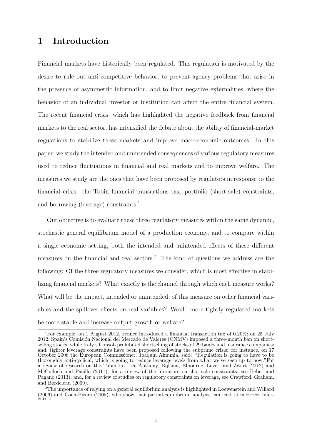### 1 Introduction

Financial markets have historically been regulated. This regulation is motivated by the desire to rule out anti-competitive behavior, to prevent agency problems that arise in the presence of asymmetric information, and to limit negative externalities, where the behavior of an individual investor or institution can affect the entire financial system. The recent financial crisis, which has highlighted the negative feedback from financial markets to the real sector, has intensified the debate about the ability of financial-market regulations to stabilize these markets and improve macroeconomic outcomes. In this paper, we study the intended and unintended consequences of various regulatory measures used to reduce fluctuations in financial and real markets and to improve welfare. The measures we study are the ones that have been proposed by regulators in response to the financial crisis: the Tobin financial-transactions tax, portfolio (short-sale) constraints, and borrowing (leverage) constraints.<sup>1</sup>

Our objective is to evaluate these three regulatory measures within the same dynamic, stochastic general equilibrium model of a production economy, and to compare within a single economic setting, both the intended and unintended effects of these different measures on the financial and real sectors.<sup>2</sup> The kind of questions we address are the following: Of the three regulatory measures we consider, which is most effective in stabilizing financial markets? What exactly is the channel through which each measure works? What will be the impact, intended or unintended, of this measure on other financial variables and the spillover effects on real variables? Would more tightly regulated markets be more stable and increase output growth or welfare?

<sup>&</sup>lt;sup>1</sup>For example, on 1 August 2012, France introduced a financial transaction tax of 0.20%; on 25 July 2012, Spain's Comisión Nacional del Mercado de Valores (CNMV) imposed a three-month ban on shortselling stocks, while Italy's Consob prohibited shortselling of stocks of 29 banks and insurance companies; and, tighter leverage constraints have been proposed following the subprime crisis: for instance, on 17 October 2008 the European Commissioner, Joaquin Almunia, said: "Regulation is going to have to be thoroughly anti-cyclical, which is going to reduce leverage levels from what we've seen up to now."For a review of research on the Tobin tax, see Anthony, Bijlsma, Elbourne, Lever, and Zwart (2012) and McCulloch and Pacillo (2011); for a review of the literature on shortsale constraints, see Beber and Pagano (2013); and, for a review of studies on regulatory constraints on leverage, see Crawford, Graham, and Bordeleau (2009).

<sup>&</sup>lt;sup>2</sup>The importance of relying on a general equilibrium analysis is highlighted in Loewenstein and Willard (2006) and Coen-Pirani (2005), who show that partial-equilibrium analysis can lead to incorrect inferences.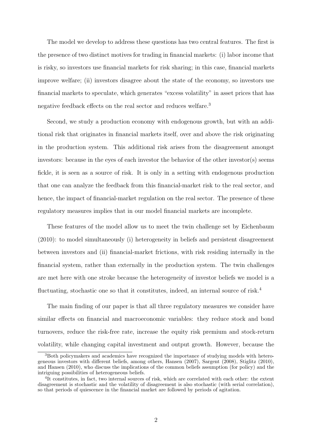The model we develop to address these questions has two central features. The first is the presence of two distinct motives for trading in financial markets: (i) labor income that is risky, so investors use financial markets for risk sharing; in this case, financial markets improve welfare; (ii) investors disagree about the state of the economy, so investors use financial markets to speculate, which generates "excess volatility" in asset prices that has negative feedback effects on the real sector and reduces welfare.<sup>3</sup>

Second, we study a production economy with endogenous growth, but with an additional risk that originates in financial markets itself, over and above the risk originating in the production system. This additional risk arises from the disagreement amongst investors: because in the eyes of each investor the behavior of the other investor(s) seems fickle, it is seen as a source of risk. It is only in a setting with endogenous production that one can analyze the feedback from this financial-market risk to the real sector, and hence, the impact of financial-market regulation on the real sector. The presence of these regulatory measures implies that in our model financial markets are incomplete.

These features of the model allow us to meet the twin challenge set by Eichenbaum (2010): to model simultaneously (i) heterogeneity in beliefs and persistent disagreement between investors and (ii) financial-market frictions, with risk residing internally in the financial system, rather than externally in the production system. The twin challenges are met here with one stroke because the heterogeneity of investor beliefs we model is a fluctuating, stochastic one so that it constitutes, indeed, an internal source of risk.<sup>4</sup>

The main finding of our paper is that all three regulatory measures we consider have similar effects on financial and macroeconomic variables: they reduce stock and bond turnovers, reduce the risk-free rate, increase the equity risk premium and stock-return volatility, while changing capital investment and output growth. However, because the

<sup>&</sup>lt;sup>3</sup>Both policymakers and academics have recognized the importance of studying models with heterogeneous investors with different beliefs, among others, Hansen (2007), Sargent (2008), Stiglitz (2010), and Hansen (2010), who discuss the implications of the common beliefs assumption (for policy) and the intriguing possibilities of heterogeneous beliefs.

<sup>&</sup>lt;sup>4</sup>It constitutes, in fact, two internal sources of risk, which are correlated with each other: the extent disagreement is stochastic and the volatility of disagreement is also stochastic (with serial correlation), so that periods of quiescence in the financial market are followed by periods of agitation.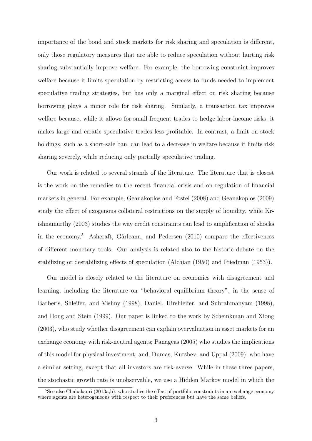importance of the bond and stock markets for risk sharing and speculation is different, only those regulatory measures that are able to reduce speculation without hurting risk sharing substantially improve welfare. For example, the borrowing constraint improves welfare because it limits speculation by restricting access to funds needed to implement speculative trading strategies, but has only a marginal effect on risk sharing because borrowing plays a minor role for risk sharing. Similarly, a transaction tax improves welfare because, while it allows for small frequent trades to hedge labor-income risks, it makes large and erratic speculative trades less profitable. In contrast, a limit on stock holdings, such as a short-sale ban, can lead to a decrease in welfare because it limits risk sharing severely, while reducing only partially speculative trading.

Our work is related to several strands of the literature. The literature that is closest is the work on the remedies to the recent financial crisis and on regulation of financial markets in general. For example, Geanakoplos and Fostel (2008) and Geanakoplos (2009) study the effect of exogenous collateral restrictions on the supply of liquidity, while Krishnamurthy (2003) studies the way credit constraints can lead to amplification of shocks in the economy.<sup>5</sup> Ashcraft, Gârleanu, and Pedersen  $(2010)$  compare the effectiveness of different monetary tools. Our analysis is related also to the historic debate on the stabilizing or destabilizing effects of speculation (Alchian (1950) and Friedman (1953)).

Our model is closely related to the literature on economies with disagreement and learning, including the literature on "behavioral equilibrium theory", in the sense of Barberis, Shleifer, and Vishny (1998), Daniel, Hirshleifer, and Subrahmanyam (1998), and Hong and Stein (1999). Our paper is linked to the work by Scheinkman and Xiong (2003), who study whether disagreement can explain overvaluation in asset markets for an exchange economy with risk-neutral agents; Panageas (2005) who studies the implications of this model for physical investment; and, Dumas, Kurshev, and Uppal (2009), who have a similar setting, except that all investors are risk-averse. While in these three papers, the stochastic growth rate is unobservable, we use a Hidden Markov model in which the

 $5$ See also Chabakauri (2013a,b), who studies the effect of portfolio constraints in an exchange economy where agents are heterogeneous with respect to their preferences but have the same beliefs.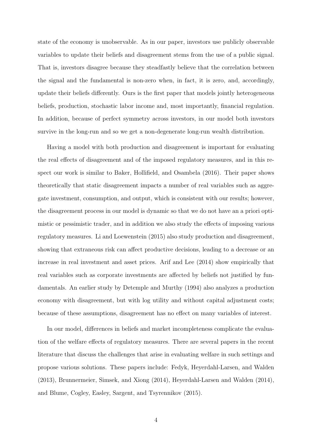state of the economy is unobservable. As in our paper, investors use publicly observable variables to update their beliefs and disagreement stems from the use of a public signal. That is, investors disagree because they steadfastly believe that the correlation between the signal and the fundamental is non-zero when, in fact, it is zero, and, accordingly, update their beliefs differently. Ours is the first paper that models jointly heterogeneous beliefs, production, stochastic labor income and, most importantly, financial regulation. In addition, because of perfect symmetry across investors, in our model both investors survive in the long-run and so we get a non-degenerate long-run wealth distribution.

Having a model with both production and disagreement is important for evaluating the real effects of disagreement and of the imposed regulatory measures, and in this respect our work is similar to Baker, Hollifield, and Osambela (2016). Their paper shows theoretically that static disagreement impacts a number of real variables such as aggregate investment, consumption, and output, which is consistent with our results; however, the disagreement process in our model is dynamic so that we do not have an a priori optimistic or pessimistic trader, and in addition we also study the effects of imposing various regulatory measures. Li and Loewenstein (2015) also study production and disagreement, showing that extraneous risk can affect productive decisions, leading to a decrease or an increase in real investment and asset prices. Arif and Lee (2014) show empirically that real variables such as corporate investments are affected by beliefs not justified by fundamentals. An earlier study by Detemple and Murthy (1994) also analyzes a production economy with disagreement, but with log utility and without capital adjustment costs; because of these assumptions, disagreement has no effect on many variables of interest.

In our model, differences in beliefs and market incompleteness complicate the evaluation of the welfare effects of regulatory measures. There are several papers in the recent literature that discuss the challenges that arise in evaluating welfare in such settings and propose various solutions. These papers include: Fedyk, Heyerdahl-Larsen, and Walden (2013), Brunnermeier, Simsek, and Xiong (2014), Heyerdahl-Larsen and Walden (2014), and Blume, Cogley, Easley, Sargent, and Tsyrennikov (2015).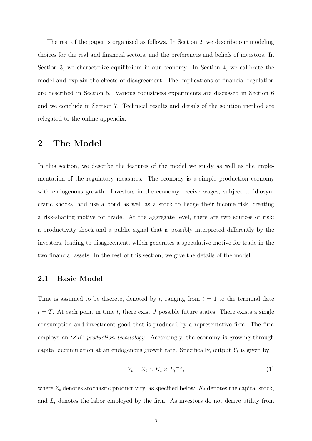The rest of the paper is organized as follows. In Section 2, we describe our modeling choices for the real and financial sectors, and the preferences and beliefs of investors. In Section 3, we characterize equilibrium in our economy. In Section 4, we calibrate the model and explain the effects of disagreement. The implications of financial regulation are described in Section 5. Various robustness experiments are discussed in Section 6 and we conclude in Section 7. Technical results and details of the solution method are relegated to the online appendix.

### 2 The Model

In this section, we describe the features of the model we study as well as the implementation of the regulatory measures. The economy is a simple production economy with endogenous growth. Investors in the economy receive wages, subject to idiosyncratic shocks, and use a bond as well as a stock to hedge their income risk, creating a risk-sharing motive for trade. At the aggregate level, there are two sources of risk: a productivity shock and a public signal that is possibly interpreted differently by the investors, leading to disagreement, which generates a speculative motive for trade in the two financial assets. In the rest of this section, we give the details of the model.

#### 2.1 Basic Model

Time is assumed to be discrete, denoted by t, ranging from  $t = 1$  to the terminal date  $t = T$ . At each point in time t, there exist J possible future states. There exists a single consumption and investment good that is produced by a representative firm. The firm employs an ' $ZK$ -production technology. Accordingly, the economy is growing through capital accumulation at an endogenous growth rate. Specifically, output  $Y_t$  is given by

$$
Y_t = Z_t \times K_t \times L_t^{1-\alpha},\tag{1}
$$

where  $Z_t$  denotes stochastic productivity, as specified below,  $K_t$  denotes the capital stock, and  $L_t$  denotes the labor employed by the firm. As investors do not derive utility from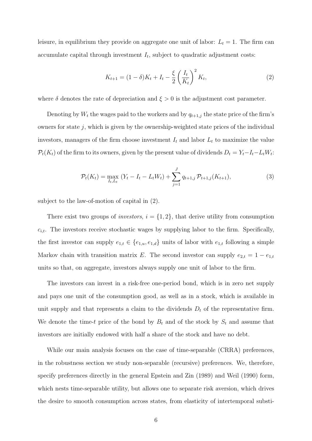leisure, in equilibrium they provide on aggregate one unit of labor:  $L_t = 1$ . The firm can accumulate capital through investment  $I_t$ , subject to quadratic adjustment costs:

$$
K_{t+1} = (1 - \delta)K_t + I_t - \frac{\xi}{2} \left(\frac{I_t}{K_t}\right)^2 K_t,
$$
\n(2)

where  $\delta$  denotes the rate of depreciation and  $\xi > 0$  is the adjustment cost parameter.

Denoting by  $W_t$  the wages paid to the workers and by  $q_{t+1,j}$  the state price of the firm's owners for state  $j$ , which is given by the ownership-weighted state prices of the individual investors, managers of the firm choose investment  $I_t$  and labor  $L_t$  to maximize the value  $\mathcal{P}_t(K_t)$  of the firm to its owners, given by the present value of dividends  $D_t = Y_t - I_t - L_t W_t$ :

$$
\mathcal{P}_t(K_t) = \max_{I_t, L_t} (Y_t - I_t - L_t W_t) + \sum_{j=1}^J q_{t+1,j} \mathcal{P}_{t+1,j}(K_{t+1}),
$$
\n(3)

subject to the law-of-motion of capital in (2).

There exist two groups of *investors*,  $i = \{1, 2\}$ , that derive utility from consumption  $c_{i,t}$ . The investors receive stochastic wages by supplying labor to the firm. Specifically, the first investor can supply  $e_{1,t} \in \{e_{1,u}, e_{1,d}\}\$  units of labor with  $e_{1,t}$  following a simple Markov chain with transition matrix E. The second investor can supply  $e_{2,t} = 1 - e_{1,t}$ units so that, on aggregate, investors always supply one unit of labor to the firm.

The investors can invest in a risk-free one-period bond, which is in zero net supply and pays one unit of the consumption good, as well as in a stock, which is available in unit supply and that represents a claim to the dividends  $D_t$  of the representative firm. We denote the time-t price of the bond by  $B_t$  and of the stock by  $S_t$  and assume that investors are initially endowed with half a share of the stock and have no debt.

While our main analysis focuses on the case of time-separable (CRRA) preferences, in the robustness section we study non-separable (recursive) preferences. We, therefore, specify preferences directly in the general Epstein and Zin (1989) and Weil (1990) form, which nests time-separable utility, but allows one to separate risk aversion, which drives the desire to smooth consumption across states, from elasticity of intertemporal substi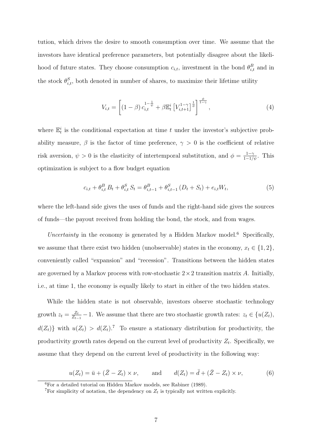tution, which drives the desire to smooth consumption over time. We assume that the investors have identical preference parameters, but potentially disagree about the likelihood of future states. They choose consumption  $c_{i,t}$ , investment in the bond  $\theta_{i,t}^B$  and in the stock  $\theta_{i,t}^S$ , both denoted in number of shares, to maximize their lifetime utility

$$
V_{i,t} = \left[ \left( 1 - \beta \right) c_{i,t}^{1 - \frac{1}{\psi}} + \beta \mathbb{E}_t^i \left[ V_{i,t+1}^{1 - \gamma} \right]^{\frac{1}{\phi}} \right]^{\frac{\phi}{1 - \gamma}}, \tag{4}
$$

where  $\mathbb{E}_t^i$  is the conditional expectation at time t under the investor's subjective probability measure,  $\beta$  is the factor of time preference,  $\gamma > 0$  is the coefficient of relative risk aversion,  $\psi > 0$  is the elasticity of intertemporal substitution, and  $\phi = \frac{1-\gamma}{1-1/\psi}$ . This optimization is subject to a flow budget equation

$$
c_{i,t} + \theta_{i,t}^B B_t + \theta_{i,t}^S S_t = \theta_{i,t-1}^B + \theta_{i,t-1}^S (D_t + S_t) + e_{i,t} W_t,
$$
\n(5)

where the left-hand side gives the uses of funds and the right-hand side gives the sources of funds—the payout received from holding the bond, the stock, and from wages.

Uncertainty in the economy is generated by a Hidden Markov model.<sup>6</sup> Specifically, we assume that there exist two hidden (unobservable) states in the economy,  $x_t \in \{1, 2\}$ , conveniently called "expansion" and "recession". Transitions between the hidden states are governed by a Markov process with row-stochastic  $2 \times 2$  transition matrix A. Initially, i.e., at time 1, the economy is equally likely to start in either of the two hidden states.

While the hidden state is not observable, investors observe stochastic technology growth  $z_t = \frac{Z_t}{Z_t}$  $\frac{Z_t}{Z_{t-1}}-1$ . We assume that there are two stochastic growth rates:  $z_t \in \{u(Z_t),$  $d(Z_t)$  with  $u(Z_t) > d(Z_t)$ .<sup>7</sup> To ensure a stationary distribution for productivity, the productivity growth rates depend on the current level of productivity  $Z_t$ . Specifically, we assume that they depend on the current level of productivity in the following way:

$$
u(Z_t) = \bar{u} + (\bar{Z} - Z_t) \times \nu, \quad \text{and} \quad d(Z_t) = \bar{d} + (\bar{Z} - Z_t) \times \nu,
$$
 (6)

 ${}^{6}$ For a detailed tutorial on Hidden Markov models, see Rabiner (1989).

<sup>&</sup>lt;sup>7</sup>For simplicity of notation, the dependency on  $Z_t$  is typically not written explicitly.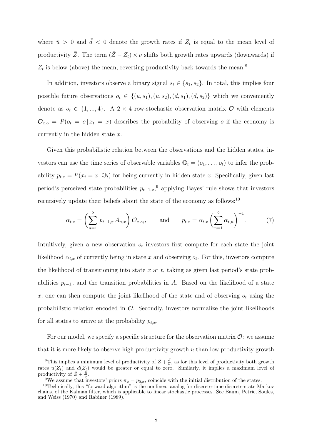where  $\bar{u} > 0$  and  $\bar{d} < 0$  denote the growth rates if  $Z_t$  is equal to the mean level of productivity  $\overline{Z}$ . The term  $(\overline{Z}-Z_t)\times \nu$  shifts both growth rates upwards (downwards) if  $Z_t$  is below (above) the mean, reverting productivity back towards the mean.<sup>8</sup>

In addition, investors observe a binary signal  $s_t \in \{s_1, s_2\}$ . In total, this implies four possible future observations  $o_t \in \{(u, s_1), (u, s_2), (d, s_1), (d, s_2)\}$  which we conveniently denote as  $o_t \in \{1, ..., 4\}$ . A 2 × 4 row-stochastic observation matrix  $\mathcal{O}$  with elements  $\mathcal{O}_{x,o} = P(o_t = o | x_t = x)$  describes the probability of observing o if the economy is currently in the hidden state  $x$ .

Given this probabilistic relation between the observations and the hidden states, investors can use the time series of observable variables  $\mathbb{O}_t = (o_1, \ldots, o_t)$  to infer the probability  $p_{t,x} = P(x_t = x | \mathbb{O}_t)$  for being currently in hidden state x. Specifically, given last period's perceived state probabilities  $p_{t-1,x}$ ,<sup>9</sup> applying Bayes' rule shows that investors recursively update their beliefs about the state of the economy as follows:<sup>10</sup>

$$
\alpha_{t,x} = \left(\sum_{n=1}^{2} p_{t-1,x} A_{n,x}\right) \mathcal{O}_{x,o_t}, \quad \text{and} \quad p_{t,x} = \alpha_{t,x} \left(\sum_{n=1}^{2} \alpha_{t,n}\right)^{-1}.
$$
 (7)

Intuitively, given a new observation  $o_t$  investors first compute for each state the joint likelihood  $\alpha_{t,x}$  of currently being in state x and observing  $o_t$ . For this, investors compute the likelihood of transitioning into state x at t, taking as given last period's state probabilities  $p_{t-1}$ , and the transition probabilities in A. Based on the likelihood of a state x, one can then compute the joint likelihood of the state and of observing  $o_t$  using the probabilistic relation encoded in  $\mathcal{O}$ . Secondly, investors normalize the joint likelihoods for all states to arrive at the probability  $p_{t,x}$ .

For our model, we specify a specific structure for the observation matrix  $\mathcal{O}$ : we assume that it is more likely to observe high productivity growth  $u$  than low productivity growth

<sup>&</sup>lt;sup>8</sup>This implies a minimum level of productivity of  $\bar{Z} + \frac{\bar{d}}{\nu}$ , as for this level of productivity both growth rates  $u(Z_t)$  and  $d(Z_t)$  would be greater or equal to zero. Similarly, it implies a maximum level of productivity of  $\overline{Z} + \frac{\overline{u}}{\nu}$ .

<sup>&</sup>lt;sup>9</sup>We assume that investors' priors  $\pi_x = p_{0,x}$ , coincide with the initial distribution of the states.

 $10$ Technically, this "forward algorithm" is the nonlinear analog for discrete-time discrete-state Markov chains, of the Kalman filter, which is applicable to linear stochastic processes. See Baum, Petrie, Soules, and Weiss (1970) and Rabiner (1989).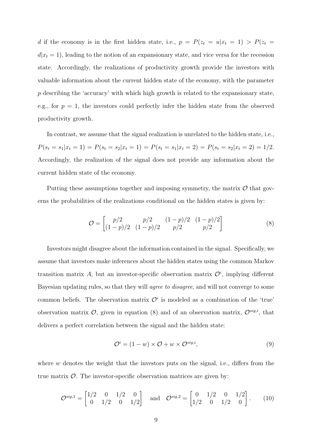d if the economy is in the first hidden state, i.e.,  $p = P(z_t = u|x_t = 1) > P(z_t =$  $d(x_t = 1)$ , leading to the notion of an expansionary state, and vice versa for the recession state. Accordingly, the realizations of productivity growth provide the investors with valuable information about the current hidden state of the economy, with the parameter p describing the 'accuracy' with which high growth is related to the expansionary state, e.g., for  $p = 1$ , the investors could perfectly infer the hidden state from the observed productivity growth.

In contrast, we assume that the signal realization is unrelated to the hidden state, i.e.,  $P(s_t = s_1 | x_t = 1) = P(s_t = s_2 | x_t = 1) = P(s_t = s_1 | x_t = 2) = P(s_t = s_2 | x_t = 2) = 1/2.$ Accordingly, the realization of the signal does not provide any information about the current hidden state of the economy.

Putting these assumptions together and imposing symmetry, the matrix  $\mathcal O$  that governs the probabilities of the realizations conditional on the hidden states is given by:

$$
\mathcal{O} = \begin{bmatrix} p/2 & p/2 & (1-p)/2 & (1-p)/2 \\ (1-p)/2 & (1-p)/2 & p/2 & p/2 \end{bmatrix}
$$
(8)

Investors might disagree about the information contained in the signal. Specifically, we assume that investors make inferences about the hidden states using the common Markov transition matrix A, but an investor-specific observation matrix  $\mathcal{O}^i$ , implying different Bayesian updating rules, so that they will agree to disagree, and will not converge to some common beliefs. The observation matrix  $\mathcal{O}^i$  is modeled as a combination of the 'true' observation matrix  $\mathcal{O}$ , given in equation (8) and of an observation matrix,  $\mathcal{O}^{sig,i}$ , that delivers a perfect correlation between the signal and the hidden state:

$$
\mathcal{O}^i = (1 - w) \times \mathcal{O} + w \times \mathcal{O}^{sig,i},\tag{9}
$$

where  $w$  denotes the weight that the investors puts on the signal, i.e., differs from the true matrix  $\mathcal{O}$ . The investor-specific observation matrices are given by:

$$
\mathcal{O}^{sig,1} = \begin{bmatrix} 1/2 & 0 & 1/2 & 0 \\ 0 & 1/2 & 0 & 1/2 \end{bmatrix} \text{ and } \mathcal{O}^{sig,2} = \begin{bmatrix} 0 & 1/2 & 0 & 1/2 \\ 1/2 & 0 & 1/2 & 0 \end{bmatrix}.
$$
 (10)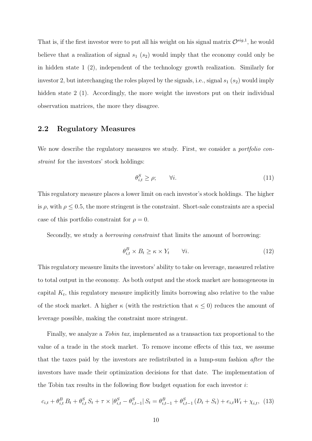That is, if the first investor were to put all his weight on his signal matrix  $\mathcal{O}^{sig,1}$ , he would believe that a realization of signal  $s_1$  ( $s_2$ ) would imply that the economy could only be in hidden state 1 (2), independent of the technology growth realization. Similarly for investor 2, but interchanging the roles played by the signals, i.e., signal  $s_1$  ( $s_2$ ) would imply hidden state 2 (1). Accordingly, the more weight the investors put on their individual observation matrices, the more they disagree.

### 2.2 Regulatory Measures

We now describe the regulatory measures we study. First, we consider a *portfolio con*straint for the investors' stock holdings:

$$
\theta_{i,t}^S \ge \rho; \qquad \forall i. \tag{11}
$$

This regulatory measure places a lower limit on each investor's stock holdings. The higher is  $\rho$ , with  $\rho \leq 0.5$ , the more stringent is the constraint. Short-sale constraints are a special case of this portfolio constraint for  $\rho = 0$ .

Secondly, we study a borrowing constraint that limits the amount of borrowing:

$$
\theta_{i,t}^B \times B_t \ge \kappa \times Y_t \qquad \forall i. \tag{12}
$$

This regulatory measure limits the investors' ability to take on leverage, measured relative to total output in the economy. As both output and the stock market are homogeneous in capital  $K_t$ , this regulatory measure implicitly limits borrowing also relative to the value of the stock market. A higher  $\kappa$  (with the restriction that  $\kappa \leq 0$ ) reduces the amount of leverage possible, making the constraint more stringent.

Finally, we analyze a Tobin tax, implemented as a transaction tax proportional to the value of a trade in the stock market. To remove income effects of this tax, we assume that the taxes paid by the investors are redistributed in a lump-sum fashion after the investors have made their optimization decisions for that date. The implementation of the Tobin tax results in the following flow budget equation for each investor  $i$ :

$$
c_{i,t} + \theta_{i,t}^B B_t + \theta_{i,t}^S S_t + \tau \times |\theta_{i,t}^S - \theta_{i,t-1}^S| S_t = \theta_{i,t-1}^B + \theta_{i,t-1}^S (D_t + S_t) + e_{i,t} W_t + \chi_{i,t}, \tag{13}
$$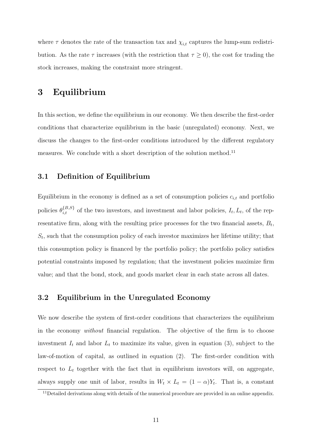where  $\tau$  denotes the rate of the transaction tax and  $\chi_{i,t}$  captures the lump-sum redistribution. As the rate  $\tau$  increases (with the restriction that  $\tau \geq 0$ ), the cost for trading the stock increases, making the constraint more stringent.

### 3 Equilibrium

In this section, we define the equilibrium in our economy. We then describe the first-order conditions that characterize equilibrium in the basic (unregulated) economy. Next, we discuss the changes to the first-order conditions introduced by the different regulatory measures. We conclude with a short description of the solution method.<sup>11</sup>

### 3.1 Definition of Equilibrium

Equilibrium in the economy is defined as a set of consumption policies  $c_{i,t}$  and portfolio policies  $\theta_{i,t}^{\{B,S\}}$  of the two investors, and investment and labor policies,  $I_t, L_t$ , of the representative firm, along with the resulting price processes for the two financial assets,  $B_t$ ,  $S_t$ , such that the consumption policy of each investor maximizes her lifetime utility; that this consumption policy is financed by the portfolio policy; the portfolio policy satisfies potential constraints imposed by regulation; that the investment policies maximize firm value; and that the bond, stock, and goods market clear in each state across all dates.

### 3.2 Equilibrium in the Unregulated Economy

We now describe the system of first-order conditions that characterizes the equilibrium in the economy without financial regulation. The objective of the firm is to choose investment  $I_t$  and labor  $L_t$  to maximize its value, given in equation (3), subject to the law-of-motion of capital, as outlined in equation (2). The first-order condition with respect to  $L_t$  together with the fact that in equilibrium investors will, on aggregate, always supply one unit of labor, results in  $W_t \times L_t = (1 - \alpha)Y_t$ . That is, a constant

<sup>&</sup>lt;sup>11</sup>Detailed derivations along with details of the numerical procedure are provided in an online appendix.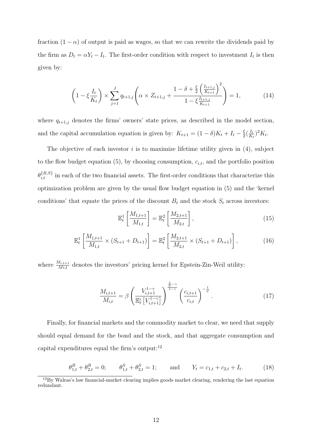fraction  $(1 - \alpha)$  of output is paid as wages, so that we can rewrite the dividends paid by the firm as  $D_t = \alpha Y_t - I_t$ . The first-order condition with respect to investment  $I_t$  is then given by:

$$
\left(1 - \xi \frac{I_t}{K_t}\right) \times \sum_{j=1}^J q_{t+1,j} \left(\alpha \times Z_{t+1,j} + \frac{1 - \delta + \frac{\xi}{2} \left(\frac{I_{t+1,j}}{K_{t+1}}\right)^2}{1 - \xi \frac{I_{t+1,j}}{K_{t+1}}}\right) = 1,\tag{14}
$$

where  $q_{t+1,j}$  denotes the firms' owners' state prices, as described in the model section, and the capital accumulation equation is given by:  $K_{t+1} = (1 - \delta)K_t + I_t - \frac{\xi}{2}$  $\frac{\xi}{2}(\frac{I_t}{K})$  $\frac{I_t}{K_t}$ <sup>2</sup> $K_t$ .

The objective of each investor  $i$  is to maximize lifetime utility given in  $(4)$ , subject to the flow budget equation (5), by choosing consumption,  $c_{i,t}$ , and the portfolio position  $\theta_{i,t}^{\{B,S\}}$  in each of the two financial assets. The first-order conditions that characterize this optimization problem are given by the usual flow budget equation in (5) and the 'kernel conditions' that equate the prices of the discount  $B_t$  and the stock  $S_t$  across investors:

$$
\mathbb{E}_t^1\left[\frac{M_{1,t+1}}{M_{1,t}}\right] = \mathbb{E}_t^2\left[\frac{M_{2,t+1}}{M_{2,t}}\right],\tag{15}
$$

$$
\mathbb{E}_t^1 \left[ \frac{M_{1,t+1}}{M_{1,t}} \times (S_{t+1} + D_{t+1}) \right] = \mathbb{E}_t^2 \left[ \frac{M_{2,t+1}}{M_{2,t}} \times (S_{t+1} + D_{t+1}) \right],
$$
 (16)

where  $\frac{M_{i,t+1}}{M_{i,t}}$  denotes the investors' pricing kernel for Epstein-Zin-Weil utility:

$$
\frac{M_{i,t+1}}{M_{i,t}} = \beta \left( \frac{V_{i,t+1}^{1-\gamma}}{\mathbb{E}_t^i \left[ V_{i,t+1}^{1-\gamma} \right]} \right)^{\frac{1}{1-\gamma}} \left( \frac{c_{i,t+1}}{c_{i,t}} \right)^{-\frac{1}{\psi}}.
$$
\n(17)

Finally, for financial markets and the commodity market to clear, we need that supply should equal demand for the bond and the stock, and that aggregate consumption and capital expenditures equal the firm's output: $12$ 

$$
\theta_{1,t}^B + \theta_{2,t}^B = 0; \qquad \theta_{1,t}^S + \theta_{2,t}^S = 1; \qquad \text{and} \qquad Y_t = c_{1,t} + c_{2,t} + I_t. \tag{18}
$$

<sup>&</sup>lt;sup>12</sup>By Walras's law financial-market clearing implies goods market clearing, rendering the last equation redundant.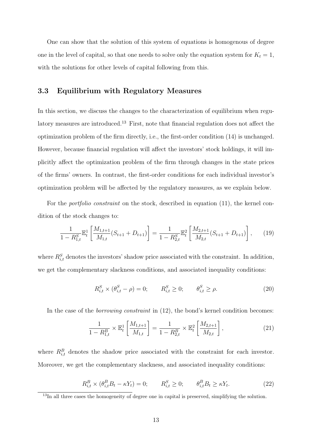One can show that the solution of this system of equations is homogenous of degree one in the level of capital, so that one needs to solve only the equation system for  $K_t = 1$ , with the solutions for other levels of capital following from this.

### 3.3 Equilibrium with Regulatory Measures

In this section, we discuss the changes to the characterization of equilibrium when regulatory measures are introduced.<sup>13</sup> First, note that financial regulation does not affect the optimization problem of the firm directly, i.e., the first-order condition (14) is unchanged. However, because financial regulation will affect the investors' stock holdings, it will implicitly affect the optimization problem of the firm through changes in the state prices of the firms' owners. In contrast, the first-order conditions for each individual investor's optimization problem will be affected by the regulatory measures, as we explain below.

For the portfolio constraint on the stock, described in equation (11), the kernel condition of the stock changes to:

$$
\frac{1}{1 - R_{1,t}^S} \mathbb{E}_t^1 \left[ \frac{M_{1,t+1}}{M_{1,t}} (S_{t+1} + D_{t+1}) \right] = \frac{1}{1 - R_{2,t}^S} \mathbb{E}_t^2 \left[ \frac{M_{2,t+1}}{M_{2,t}} (S_{t+1} + D_{t+1}) \right], \tag{19}
$$

where  $R_{i,t}^S$  denotes the investors' shadow price associated with the constraint. In addition, we get the complementary slackness conditions, and associated inequality conditions:

$$
R_{i,t}^{S} \times (\theta_{i,t}^{S} - \rho) = 0; \qquad R_{i,t}^{S} \ge 0; \qquad \theta_{i,t}^{S} \ge \rho.
$$
 (20)

In the case of the *borrowing constraint* in (12), the bond's kernel condition becomes:

$$
\frac{1}{1 - R_{1,t}^B} \times \mathbb{E}_t^1 \left[ \frac{M_{1,t+1}}{M_{1,t}} \right] = \frac{1}{1 - R_{2,t}^B} \times \mathbb{E}_t^2 \left[ \frac{M_{2,t+1}}{M_{2,t}} \right],
$$
\n(21)

where  $R_{i,t}^B$  denotes the shadow price associated with the constraint for each investor. Moreover, we get the complementary slackness, and associated inequality conditions:

$$
R_{i,t}^{B} \times (\theta_{i,t}^{B} B_t - \kappa Y_t) = 0; \qquad R_{i,t}^{S} \ge 0; \qquad \theta_{i,t}^{B} B_t \ge \kappa Y_t.
$$
 (22)

 $13$ In all three cases the homogeneity of degree one in capital is preserved, simplifying the solution.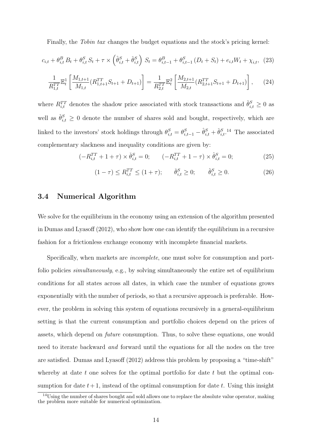Finally, the Tobin tax changes the budget equations and the stock's pricing kernel:

$$
c_{i,t} + \theta_{i,t}^B B_t + \theta_{i,t}^S S_t + \tau \times \left(\hat{\theta}_{i,t}^S + \check{\theta}_{i,t}^S\right) S_t = \theta_{i,t-1}^B + \theta_{i,t-1}^S (D_t + S_t) + e_{i,t} W_t + \chi_{i,t}, \tag{23}
$$

$$
\frac{1}{R_{1,t}^{TT}} \mathbb{E}_t^1 \left[ \frac{M_{1,t+1}}{M_{1,t}} (R_{1,t+1}^{TT} S_{t+1} + D_{t+1}) \right] = \frac{1}{R_{2,t}^{TT}} \mathbb{E}_t^2 \left[ \frac{M_{2,t+1}}{M_{2,t}} (R_{2,t+1}^{TT} S_{t+1} + D_{t+1}) \right], \tag{24}
$$

where  $R_{i,t}^{TT}$  denotes the shadow price associated with stock transactions and  $\hat{\theta}_{i,t}^S \geq 0$  as well as  $\check{\theta}_{i,t}^S \geq 0$  denote the number of shares sold and bought, respectively, which are linked to the investors' stock holdings through  $\theta_{i,t}^S = \theta_{i,t-1}^S - \hat{\theta}_{i,t}^S + \check{\theta}_{i,t}^S$ .<sup>14</sup> The associated complementary slackness and inequality conditions are given by:

$$
(-R_{i,t}^{TT} + 1 + \tau) \times \check{\theta}_{i,t}^{S} = 0; \qquad (-R_{i,t}^{TT} + 1 - \tau) \times \hat{\theta}_{i,t}^{S} = 0; \qquad (25)
$$

$$
(1 - \tau) \le R_{i,t}^{TT} \le (1 + \tau); \qquad \check{\theta}_{i,t}^S \ge 0; \qquad \hat{\theta}_{i,t}^S \ge 0.
$$
 (26)

### 3.4 Numerical Algorithm

We solve for the equilibrium in the economy using an extension of the algorithm presented in Dumas and Lyasoff (2012), who show how one can identify the equilibrium in a recursive fashion for a frictionless exchange economy with incomplete financial markets.

Specifically, when markets are incomplete, one must solve for consumption and portfolio policies *simultaneously*, e.g., by solving simultaneously the entire set of equilibrium conditions for all states across all dates, in which case the number of equations grows exponentially with the number of periods, so that a recursive approach is preferable. However, the problem in solving this system of equations recursively in a general-equilibrium setting is that the current consumption and portfolio choices depend on the prices of assets, which depend on future consumption. Thus, to solve these equations, one would need to iterate backward and forward until the equations for all the nodes on the tree are satisfied. Dumas and Lyasoff (2012) address this problem by proposing a "time-shift" whereby at date t one solves for the optimal portfolio for date t but the optimal consumption for date  $t + 1$ , instead of the optimal consumption for date t. Using this insight

<sup>&</sup>lt;sup>14</sup>Using the number of shares bought and sold allows one to replace the absolute value operator, making the problem more suitable for numerical optimization.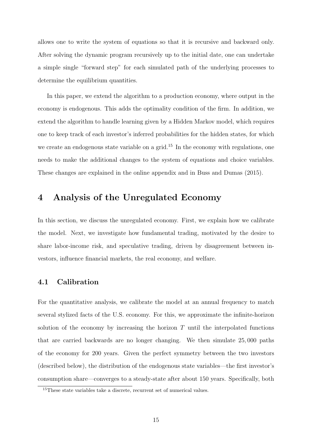allows one to write the system of equations so that it is recursive and backward only. After solving the dynamic program recursively up to the initial date, one can undertake a simple single "forward step" for each simulated path of the underlying processes to determine the equilibrium quantities.

In this paper, we extend the algorithm to a production economy, where output in the economy is endogenous. This adds the optimality condition of the firm. In addition, we extend the algorithm to handle learning given by a Hidden Markov model, which requires one to keep track of each investor's inferred probabilities for the hidden states, for which we create an endogenous state variable on a grid.<sup>15</sup> In the economy with regulations, one needs to make the additional changes to the system of equations and choice variables. These changes are explained in the online appendix and in Buss and Dumas (2015).

### 4 Analysis of the Unregulated Economy

In this section, we discuss the unregulated economy. First, we explain how we calibrate the model. Next, we investigate how fundamental trading, motivated by the desire to share labor-income risk, and speculative trading, driven by disagreement between investors, influence financial markets, the real economy, and welfare.

### 4.1 Calibration

For the quantitative analysis, we calibrate the model at an annual frequency to match several stylized facts of the U.S. economy. For this, we approximate the infinite-horizon solution of the economy by increasing the horizon  $T$  until the interpolated functions that are carried backwards are no longer changing. We then simulate 25, 000 paths of the economy for 200 years. Given the perfect symmetry between the two investors (described below), the distribution of the endogenous state variables—the first investor's consumption share—converges to a steady-state after about 150 years. Specifically, both

<sup>&</sup>lt;sup>15</sup>These state variables take a discrete, recurrent set of numerical values.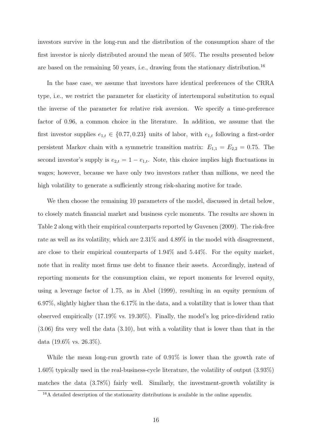investors survive in the long-run and the distribution of the consumption share of the first investor is nicely distributed around the mean of 50%. The results presented below are based on the remaining 50 years, i.e., drawing from the stationary distribution.<sup>16</sup>

In the base case, we assume that investors have identical preferences of the CRRA type, i.e., we restrict the parameter for elasticity of intertemporal substitution to equal the inverse of the parameter for relative risk aversion. We specify a time-preference factor of 0.96, a common choice in the literature. In addition, we assume that the first investor supplies  $e_{1,t} \in \{0.77, 0.23\}$  units of labor, with  $e_{1,t}$  following a first-order persistent Markov chain with a symmetric transition matrix:  $E_{1,1} = E_{2,2} = 0.75$ . The second investor's supply is  $e_{2,t} = 1 - e_{1,t}$ . Note, this choice implies high fluctuations in wages; however, because we have only two investors rather than millions, we need the high volatility to generate a sufficiently strong risk-sharing motive for trade.

We then choose the remaining 10 parameters of the model, discussed in detail below, to closely match financial market and business cycle moments. The results are shown in Table 2 along with their empirical counterparts reported by Guvenen (2009). The risk-free rate as well as its volatility, which are  $2.31\%$  and  $4.89\%$  in the model with disagreement, are close to their empirical counterparts of 1.94% and 5.44%. For the equity market, note that in reality most firms use debt to finance their assets. Accordingly, instead of reporting moments for the consumption claim, we report moments for levered equity, using a leverage factor of 1.75, as in Abel (1999), resulting in an equity premium of 6.97%, slightly higher than the 6.17% in the data, and a volatility that is lower than that observed empirically (17.19% vs. 19.30%). Finally, the model's log price-dividend ratio (3.06) fits very well the data (3.10), but with a volatility that is lower than that in the data (19.6% vs. 26.3%).

While the mean long-run growth rate of 0.91% is lower than the growth rate of 1.60% typically used in the real-business-cycle literature, the volatility of output (3.93%) matches the data (3.78%) fairly well. Similarly, the investment-growth volatility is

<sup>&</sup>lt;sup>16</sup>A detailed description of the stationarity distributions is available in the online appendix.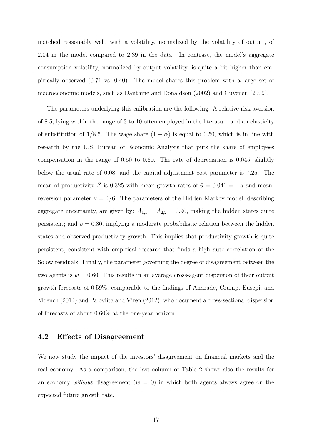matched reasonably well, with a volatility, normalized by the volatility of output, of 2.04 in the model compared to 2.39 in the data. In contrast, the model's aggregate consumption volatility, normalized by output volatility, is quite a bit higher than empirically observed (0.71 vs. 0.40). The model shares this problem with a large set of macroeconomic models, such as Danthine and Donaldson (2002) and Guvenen (2009).

The parameters underlying this calibration are the following. A relative risk aversion of 8.5, lying within the range of 3 to 10 often employed in the literature and an elasticity of substitution of 1/8.5. The wage share  $(1 - \alpha)$  is equal to 0.50, which is in line with research by the U.S. Bureau of Economic Analysis that puts the share of employees compensation in the range of 0.50 to 0.60. The rate of depreciation is 0.045, slightly below the usual rate of 0.08, and the capital adjustment cost parameter is 7.25. The mean of productivity  $\overline{Z}$  is 0.325 with mean growth rates of  $\overline{u} = 0.041 = -\overline{d}$  and meanreversion parameter  $\nu = 4/6$ . The parameters of the Hidden Markov model, describing aggregate uncertainty, are given by:  $A_{1,1} = A_{2,2} = 0.90$ , making the hidden states quite persistent; and  $p = 0.80$ , implying a moderate probabilistic relation between the hidden states and observed productivity growth. This implies that productivity growth is quite persistent, consistent with empirical research that finds a high auto-correlation of the Solow residuals. Finally, the parameter governing the degree of disagreement between the two agents is  $w = 0.60$ . This results in an average cross-agent dispersion of their output growth forecasts of 0.59%, comparable to the findings of Andrade, Crump, Eusepi, and Moench (2014) and Paloviita and Viren (2012), who document a cross-sectional dispersion of forecasts of about 0.60% at the one-year horizon.

#### 4.2 Effects of Disagreement

We now study the impact of the investors' disagreement on financial markets and the real economy. As a comparison, the last column of Table 2 shows also the results for an economy without disagreement  $(w = 0)$  in which both agents always agree on the expected future growth rate.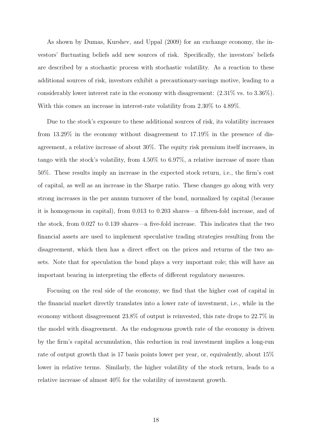As shown by Dumas, Kurshev, and Uppal (2009) for an exchange economy, the investors' fluctuating beliefs add new sources of risk. Specifically, the investors' beliefs are described by a stochastic process with stochastic volatility. As a reaction to these additional sources of risk, investors exhibit a precautionary-savings motive, leading to a considerably lower interest rate in the economy with disagreement: (2.31% vs. to 3.36%). With this comes an increase in interest-rate volatility from 2.30% to 4.89%.

Due to the stock's exposure to these additional sources of risk, its volatility increases from 13.29% in the economy without disagreement to 17.19% in the presence of disagreement, a relative increase of about 30%. The equity risk premium itself increases, in tango with the stock's volatility, from 4.50% to 6.97%, a relative increase of more than 50%. These results imply an increase in the expected stock return, i.e., the firm's cost of capital, as well as an increase in the Sharpe ratio. These changes go along with very strong increases in the per annum turnover of the bond, normalized by capital (because it is homogenous in capital), from 0.013 to 0.203 shares—a fifteen-fold increase, and of the stock, from 0.027 to 0.139 shares—a five-fold increase. This indicates that the two financial assets are used to implement speculative trading strategies resulting from the disagreement, which then has a direct effect on the prices and returns of the two assets. Note that for speculation the bond plays a very important role; this will have an important bearing in interpreting the effects of different regulatory measures.

Focusing on the real side of the economy, we find that the higher cost of capital in the financial market directly translates into a lower rate of investment, i.e., while in the economy without disagreement 23.8% of output is reinvested, this rate drops to 22.7% in the model with disagreement. As the endogenous growth rate of the economy is driven by the firm's capital accumulation, this reduction in real investment implies a long-run rate of output growth that is 17 basis points lower per year, or, equivalently, about 15% lower in relative terms. Similarly, the higher volatility of the stock return, leads to a relative increase of almost 40% for the volatility of investment growth.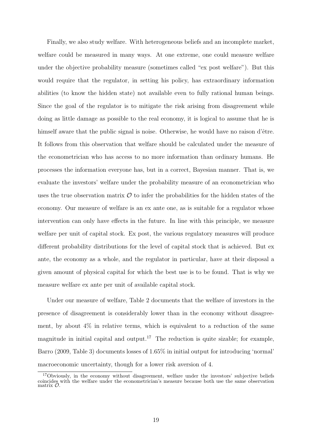Finally, we also study welfare. With heterogeneous beliefs and an incomplete market, welfare could be measured in many ways. At one extreme, one could measure welfare under the objective probability measure (sometimes called "ex post welfare"). But this would require that the regulator, in setting his policy, has extraordinary information abilities (to know the hidden state) not available even to fully rational human beings. Since the goal of the regulator is to mitigate the risk arising from disagreement while doing as little damage as possible to the real economy, it is logical to assume that he is himself aware that the public signal is noise. Otherwise, he would have no raison d'être. It follows from this observation that welfare should be calculated under the measure of the econometrician who has access to no more information than ordinary humans. He processes the information everyone has, but in a correct, Bayesian manner. That is, we evaluate the investors' welfare under the probability measure of an econometrician who uses the true observation matrix  $\mathcal O$  to infer the probabilities for the hidden states of the economy. Our measure of welfare is an ex ante one, as is suitable for a regulator whose intervention can only have effects in the future. In line with this principle, we measure welfare per unit of capital stock. Ex post, the various regulatory measures will produce different probability distributions for the level of capital stock that is achieved. But ex ante, the economy as a whole, and the regulator in particular, have at their disposal a given amount of physical capital for which the best use is to be found. That is why we measure welfare ex ante per unit of available capital stock.

Under our measure of welfare, Table 2 documents that the welfare of investors in the presence of disagreement is considerably lower than in the economy without disagreement, by about 4% in relative terms, which is equivalent to a reduction of the same magnitude in initial capital and output.<sup>17</sup> The reduction is quite sizable; for example, Barro (2009, Table 3) documents losses of 1.65% in initial output for introducing 'normal' macroeconomic uncertainty, though for a lower risk aversion of 4.

<sup>&</sup>lt;sup>17</sup>Obviously, in the economy without disagreement, welfare under the investors' subjective beliefs coincides with the welfare under the econometrician's measure because both use the same observation matrix O.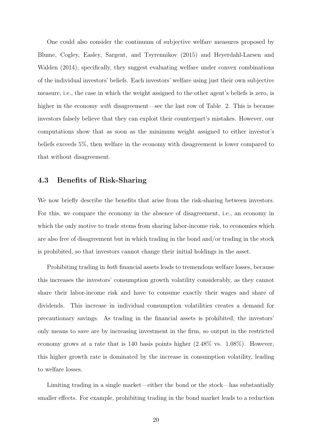One could also consider the continuum of subjective welfare measures proposed by Blume, Cogley, Easley, Sargent, and Tsyrennikov (2015) and Heyerdahl-Larsen and Walden (2014); specifically, they suggest evaluating welfare under convex combinations of the individual investors' beliefs. Each investors' welfare using just their own subjective measure, i.e., the case in which the weight assigned to the other agent's beliefs is zero, is higher in the economy with disagreement—see the last row of Table 2. This is because investors falsely believe that they can exploit their counterpart's mistakes. However, our computations show that as soon as the minimum weight assigned to either investor's beliefs exceeds 5%, then welfare in the economy with disagreement is lower compared to that without disagreement.

### 4.3 Benefits of Risk-Sharing

We now briefly describe the benefits that arise from the risk-sharing between investors. For this, we compare the economy in the absence of disagreement, i.e., an economy in which the only motive to trade stems from sharing labor-income risk, to economies which are also free of disagreement but in which trading in the bond and/or trading in the stock is prohibited, so that investors cannot change their initial holdings in the asset.

Prohibiting trading in both financial assets leads to tremendous welfare losses, because this increases the investors' consumption growth volatility considerably, as they cannot share their labor-income risk and have to consume exactly their wages and share of dividends. This increase in individual consumption volatilities creates a demand for precautionary savings. As trading in the financial assets is prohibited, the investors' only means to save are by increasing investment in the firm, so output in the restricted economy grows at a rate that is 140 basis points higher (2.48% vs. 1.08%). However, this higher growth rate is dominated by the increase in consumption volatility, leading to welfare losses.

Limiting trading in a single market—either the bond or the stock—has substantially smaller effects. For example, prohibiting trading in the bond market leads to a reduction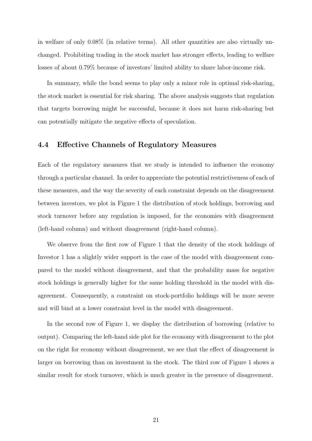in welfare of only 0.08% (in relative terms). All other quantities are also virtually unchanged. Prohibiting trading in the stock market has stronger effects, leading to welfare losses of about 0.79% because of investors' limited ability to share labor-income risk.

In summary, while the bond seems to play only a minor role in optimal risk-sharing, the stock market is essential for risk sharing. The above analysis suggests that regulation that targets borrowing might be successful, because it does not harm risk-sharing but can potentially mitigate the negative effects of speculation.

### 4.4 Effective Channels of Regulatory Measures

Each of the regulatory measures that we study is intended to influence the economy through a particular channel. In order to appreciate the potential restrictiveness of each of these measures, and the way the severity of each constraint depends on the disagreement between investors, we plot in Figure 1 the distribution of stock holdings, borrowing and stock turnover before any regulation is imposed, for the economies with disagreement (left-hand column) and without disagreement (right-hand column).

We observe from the first row of Figure 1 that the density of the stock holdings of Investor 1 has a slightly wider support in the case of the model with disagreement compared to the model without disagreement, and that the probability mass for negative stock holdings is generally higher for the same holding threshold in the model with disagreement. Consequently, a constraint on stock-portfolio holdings will be more severe and will bind at a lower constraint level in the model with disagreement.

In the second row of Figure 1, we display the distribution of borrowing (relative to output). Comparing the left-hand side plot for the economy with disagreement to the plot on the right for economy without disagreement, we see that the effect of disagreement is larger on borrowing than on investment in the stock. The third row of Figure 1 shows a similar result for stock turnover, which is much greater in the presence of disagreement.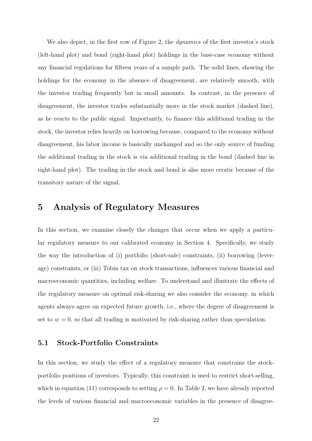We also depict, in the first row of Figure 2, the *dynamics* of the first investor's stock (left-hand plot) and bond (right-hand plot) holdings in the base-case economy without any financial regulations for fifteen years of a sample path. The solid lines, showing the holdings for the economy in the absence of disagreement, are relatively smooth, with the investor trading frequently but in small amounts. In contrast, in the presence of disagreement, the investor trades substantially more in the stock market (dashed line), as he reacts to the public signal. Importantly, to finance this additional trading in the stock, the investor relies heavily on borrowing because, compared to the economy without disagreement, his labor income is basically unchanged and so the only source of funding the additional trading in the stock is via additional trading in the bond (dashed line in right-hand plot). The trading in the stock and bond is also more erratic because of the transitory nature of the signal.

### 5 Analysis of Regulatory Measures

In this section, we examine closely the changes that occur when we apply a particular regulatory measure to our calibrated economy in Section 4. Specifically, we study the way the introduction of (i) portfolio (short-sale) constraints, (ii) borrowing (leverage) constraints, or (iii) Tobin tax on stock transactions, influences various financial and macroeconomic quantities, including welfare. To understand and illustrate the effects of the regulatory measure on optimal risk-sharing we also consider the economy, in which agents always agree on expected future growth, i.e., where the degree of disagreement is set to  $w = 0$ , so that all trading is motivated by risk-sharing rather than speculation.

### 5.1 Stock-Portfolio Constraints

In this section, we study the effect of a regulatory measure that constrains the stockportfolio positions of investors. Typically, this constraint is used to restrict short-selling, which in equation (11) corresponds to setting  $\rho = 0$ . In Table 2, we have already reported the levels of various financial and macroeconomic variables in the presence of disagree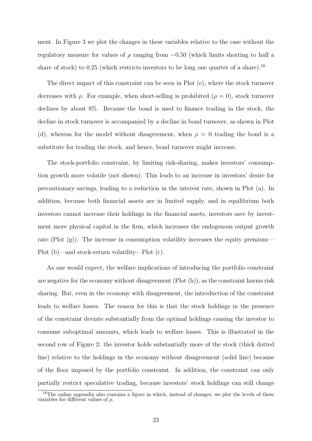ment. In Figure 3 we plot the changes in these variables relative to the case without the regulatory measure for values of  $\rho$  ranging from  $-0.50$  (which limits shorting to half a share of stock) to  $0.25$  (which restricts investors to be long one quarter of a share).<sup>18</sup>

The direct impact of this constraint can be seen in Plot (e), where the stock turnover decreases with  $\rho$ . For example, when short-selling is prohibited  $(\rho = 0)$ , stock turnover declines by about 8%. Because the bond is used to finance trading in the stock, the decline in stock turnover is accompanied by a decline in bond turnover, as shown in Plot (d), whereas for the model without disagreement, when  $\rho > 0$  trading the bond is a substitute for trading the stock, and hence, bond turnover might increase.

The stock-portfolio constraint, by limiting risk-sharing, makes investors' consumption growth more volatile (not shown). This leads to an increase in investors' desire for precautionary savings, leading to a reduction in the interest rate, shown in Plot (a). In addition, because both financial assets are in limited supply, and in equilibrium both investors cannot increase their holdings in the financial assets, investors save by investment more physical capital in the firm, which increases the endogenous output growth rate (Plot  $(g)$ ). The increase in consumption volatility increases the equity premium— Plot (b)—and stock-return volatility—Plot (c).

As one would expect, the welfare implications of introducing the portfolio constraint are negative for the economy without disagreement (Plot (h)), as the constraint harms risk sharing. But, even in the economy with disagreement, the introduction of the constraint leads to welfare losses. The reason for this is that the stock holdings in the presence of the constraint deviate substantially from the optimal holdings causing the investor to consume suboptimal amounts, which leads to welfare losses. This is illustrated in the second row of Figure 2: the investor holds substantially more of the stock (thick dotted line) relative to the holdings in the economy without disagreement (solid line) because of the floor imposed by the portfolio constraint. In addition, the constraint can only partially restrict speculative trading, because investors' stock holdings can still change

<sup>&</sup>lt;sup>18</sup>The online appendix also contains a figure in which, instead of changes, we plot the levels of these variables for different values of  $\rho$ .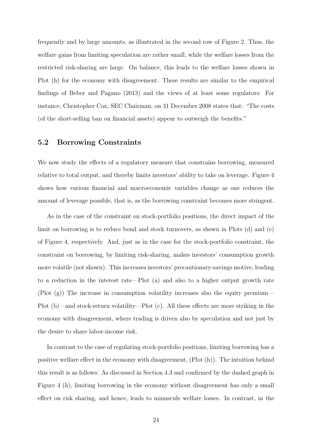frequently and by large amounts, as illustrated in the second row of Figure 2. Thus, the welfare gains from limiting speculation are rather small, while the welfare losses from the restricted risk-sharing are large. On balance, this leads to the welfare losses shown in Plot (h) for the economy with disagreement. These results are similar to the empirical findings of Beber and Pagano (2013) and the views of at least some regulators: For instance, Christopher Cox, SEC Chairman, on 31 December 2008 states that: "The costs (of the short-selling ban on financial assets) appear to outweigh the benefits."

### 5.2 Borrowing Constraints

We now study the effects of a regulatory measure that constrains borrowing, measured relative to total output, and thereby limits investors' ability to take on leverage. Figure 4 shows how various financial and macroeconomic variables change as one reduces the amount of leverage possible, that is, as the borrowing constraint becomes more stringent.

As in the case of the constraint on stock-portfolio positions, the direct impact of the limit on borrowing is to reduce bond and stock turnovers, as shown in Plots (d) and (e) of Figure 4, respectively. And, just as in the case for the stock-portfolio constraint, the constraint on borrowing, by limiting risk-sharing, makes investors' consumption growth more volatile (not shown). This increases investors' precautionary-savings motive, leading to a reduction in the interest rate—Plot (a) and also to a higher output growth rate (Plot (g)) The increase in consumption volatility increases also the equity premium— Plot (b)—and stock-return volatility—Plot (c). All these effects are more striking in the economy with disagreement, where trading is driven also by speculation and not just by the desire to share labor-income risk.

In contrast to the case of regulating stock-portfolio positions, limiting borrowing has a positive welfare effect in the economy with disagreement, (Plot (h)). The intuition behind this result is as follows: As discussed in Section 4.3 and confirmed by the dashed graph in Figure 4 (h), limiting borrowing in the economy without disagreement has only a small effect on risk sharing, and hence, leads to minuscule welfare losses. In contrast, in the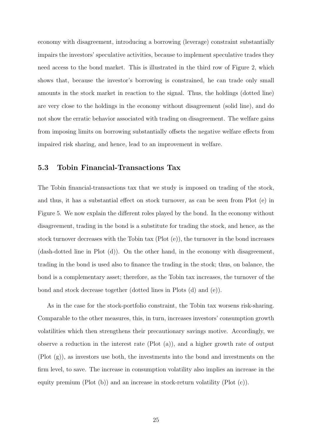economy with disagreement, introducing a borrowing (leverage) constraint substantially impairs the investors' speculative activities, because to implement speculative trades they need access to the bond market. This is illustrated in the third row of Figure 2, which shows that, because the investor's borrowing is constrained, he can trade only small amounts in the stock market in reaction to the signal. Thus, the holdings (dotted line) are very close to the holdings in the economy without disagreement (solid line), and do not show the erratic behavior associated with trading on disagreement. The welfare gains from imposing limits on borrowing substantially offsets the negative welfare effects from impaired risk sharing, and hence, lead to an improvement in welfare.

#### 5.3 Tobin Financial-Transactions Tax

The Tobin financial-transactions tax that we study is imposed on trading of the stock, and thus, it has a substantial effect on stock turnover, as can be seen from Plot (e) in Figure 5. We now explain the different roles played by the bond. In the economy without disagreement, trading in the bond is a substitute for trading the stock, and hence, as the stock turnover decreases with the Tobin tax (Plot (e)), the turnover in the bond increases  $(dash-dotted line in Plot (d))$ . On the other hand, in the economy with disagreement, trading in the bond is used also to finance the trading in the stock; thus, on balance, the bond is a complementary asset; therefore, as the Tobin tax increases, the turnover of the bond and stock decrease together (dotted lines in Plots (d) and (e)).

As in the case for the stock-portfolio constraint, the Tobin tax worsens risk-sharing. Comparable to the other measures, this, in turn, increases investors' consumption growth volatilities which then strengthens their precautionary savings motive. Accordingly, we observe a reduction in the interest rate  $(Plot (a))$ , and a higher growth rate of output (Plot (g)), as investors use both, the investments into the bond and investments on the firm level, to save. The increase in consumption volatility also implies an increase in the equity premium (Plot (b)) and an increase in stock-return volatility (Plot (c)).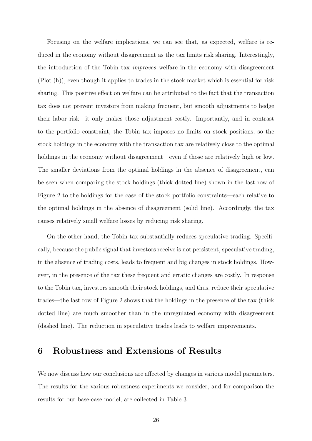Focusing on the welfare implications, we can see that, as expected, welfare is reduced in the economy without disagreement as the tax limits risk sharing. Interestingly, the introduction of the Tobin tax improves welfare in the economy with disagreement (Plot (h)), even though it applies to trades in the stock market which is essential for risk sharing. This positive effect on welfare can be attributed to the fact that the transaction tax does not prevent investors from making frequent, but smooth adjustments to hedge their labor risk—it only makes those adjustment costly. Importantly, and in contrast to the portfolio constraint, the Tobin tax imposes no limits on stock positions, so the stock holdings in the economy with the transaction tax are relatively close to the optimal holdings in the economy without disagreement—even if those are relatively high or low. The smaller deviations from the optimal holdings in the absence of disagreement, can be seen when comparing the stock holdings (thick dotted line) shown in the last row of Figure 2 to the holdings for the case of the stock portfolio constraints—each relative to the optimal holdings in the absence of disagreement (solid line). Accordingly, the tax causes relatively small welfare losses by reducing risk sharing.

On the other hand, the Tobin tax substantially reduces speculative trading. Specifically, because the public signal that investors receive is not persistent, speculative trading, in the absence of trading costs, leads to frequent and big changes in stock holdings. However, in the presence of the tax these frequent and erratic changes are costly. In response to the Tobin tax, investors smooth their stock holdings, and thus, reduce their speculative trades—the last row of Figure 2 shows that the holdings in the presence of the tax (thick dotted line) are much smoother than in the unregulated economy with disagreement (dashed line). The reduction in speculative trades leads to welfare improvements.

### 6 Robustness and Extensions of Results

We now discuss how our conclusions are affected by changes in various model parameters. The results for the various robustness experiments we consider, and for comparison the results for our base-case model, are collected in Table 3.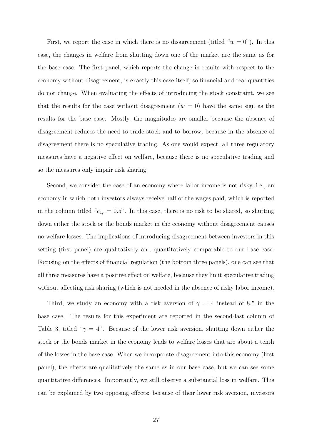First, we report the case in which there is no disagreement (titled " $w = 0$ "). In this case, the changes in welfare from shutting down one of the market are the same as for the base case. The first panel, which reports the change in results with respect to the economy without disagreement, is exactly this case itself, so financial and real quantities do not change. When evaluating the effects of introducing the stock constraint, we see that the results for the case without disagreement  $(w = 0)$  have the same sign as the results for the base case. Mostly, the magnitudes are smaller because the absence of disagreement reduces the need to trade stock and to borrow, because in the absence of disagreement there is no speculative trading. As one would expect, all three regulatory measures have a negative effect on welfare, because there is no speculative trading and so the measures only impair risk sharing.

Second, we consider the case of an economy where labor income is not risky, i.e., an economy in which both investors always receive half of the wages paid, which is reported in the column titled " $e_{1,} = 0.5$ ". In this case, there is no risk to be shared, so shutting down either the stock or the bonds market in the economy without disagreement causes no welfare losses. The implications of introducing disagreement between investors in this setting (first panel) are qualitatively and quantitatively comparable to our base case. Focusing on the effects of financial regulation (the bottom three panels), one can see that all three measures have a positive effect on welfare, because they limit speculative trading without affecting risk sharing (which is not needed in the absence of risky labor income).

Third, we study an economy with a risk aversion of  $\gamma = 4$  instead of 8.5 in the base case. The results for this experiment are reported in the second-last column of Table 3, titled " $\gamma = 4$ ". Because of the lower risk aversion, shutting down either the stock or the bonds market in the economy leads to welfare losses that are about a tenth of the losses in the base case. When we incorporate disagreement into this economy (first panel), the effects are qualitatively the same as in our base case, but we can see some quantitative differences. Importantly, we still observe a substantial loss in welfare. This can be explained by two opposing effects: because of their lower risk aversion, investors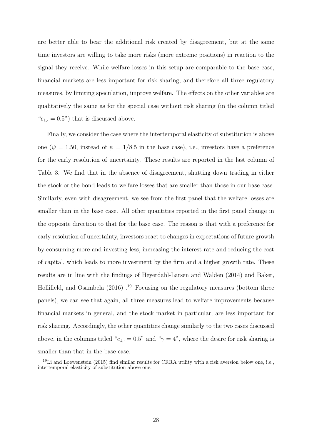are better able to bear the additional risk created by disagreement, but at the same time investors are willing to take more risks (more extreme positions) in reaction to the signal they receive. While welfare losses in this setup are comparable to the base case, financial markets are less important for risk sharing, and therefore all three regulatory measures, by limiting speculation, improve welfare. The effects on the other variables are qualitatively the same as for the special case without risk sharing (in the column titled " $e_{1,0} = 0.5$ ") that is discussed above.

Finally, we consider the case where the intertemporal elasticity of substitution is above one ( $\psi = 1.50$ , instead of  $\psi = 1/8.5$  in the base case), i.e., investors have a preference for the early resolution of uncertainty. These results are reported in the last column of Table 3. We find that in the absence of disagreement, shutting down trading in either the stock or the bond leads to welfare losses that are smaller than those in our base case. Similarly, even with disagreement, we see from the first panel that the welfare losses are smaller than in the base case. All other quantities reported in the first panel change in the opposite direction to that for the base case. The reason is that with a preference for early resolution of uncertainty, investors react to changes in expectations of future growth by consuming more and investing less, increasing the interest rate and reducing the cost of capital, which leads to more investment by the firm and a higher growth rate. These results are in line with the findings of Heyerdahl-Larsen and Walden (2014) and Baker, Hollifield, and Osambela  $(2016)$ .<sup>19</sup> Focusing on the regulatory measures (bottom three panels), we can see that again, all three measures lead to welfare improvements because financial markets in general, and the stock market in particular, are less important for risk sharing. Accordingly, the other quantities change similarly to the two cases discussed above, in the columns titled " $e_{1,-} = 0.5$ " and " $\gamma = 4$ ", where the desire for risk sharing is smaller than that in the base case.

 $^{19}$ Li and Loewenstein (2015) find similar results for CRRA utility with a risk aversion below one, i.e., intertemporal elasticity of substitution above one.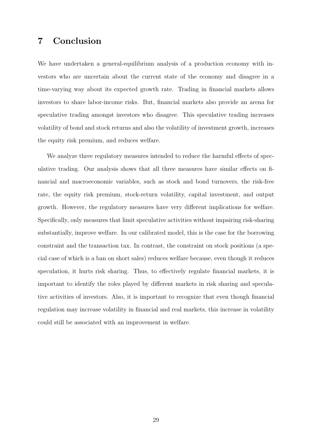### 7 Conclusion

We have undertaken a general-equilibrium analysis of a production economy with investors who are uncertain about the current state of the economy and disagree in a time-varying way about its expected growth rate. Trading in financial markets allows investors to share labor-income risks. But, financial markets also provide an arena for speculative trading amongst investors who disagree. This speculative trading increases volatility of bond and stock returns and also the volatility of investment growth, increases the equity risk premium, and reduces welfare.

We analyze three regulatory measures intended to reduce the harmful effects of speculative trading. Our analysis shows that all three measures have similar effects on financial and macroeconomic variables, such as stock and bond turnovers, the risk-free rate, the equity risk premium, stock-return volatility, capital investment, and output growth. However, the regulatory measures have very different implications for welfare. Specifically, only measures that limit speculative activities without impairing risk-sharing substantially, improve welfare. In our calibrated model, this is the case for the borrowing constraint and the transaction tax. In contrast, the constraint on stock positions (a special case of which is a ban on short sales) reduces welfare because, even though it reduces speculation, it hurts risk sharing. Thus, to effectively regulate financial markets, it is important to identify the roles played by different markets in risk sharing and speculative activities of investors. Also, it is important to recognize that even though financial regulation may increase volatility in financial and real markets, this increase in volatility could still be associated with an improvement in welfare.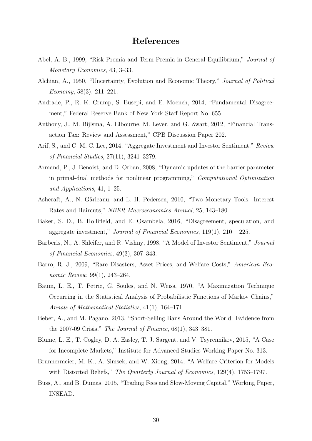### References

- Abel, A. B., 1999, "Risk Premia and Term Premia in General Equilibrium," Journal of Monetary Economics, 43, 3–33.
- Alchian, A., 1950, "Uncertainty, Evolution and Economic Theory," Journal of Political Economy,  $58(3)$ ,  $211-221$ .
- Andrade, P., R. K. Crump, S. Eusepi, and E. Moench, 2014, "Fundamental Disagreement," Federal Reserve Bank of New York Staff Report No. 655.
- Anthony, J., M. Bijlsma, A. Elbourne, M. Lever, and G. Zwart, 2012, "Financial Transaction Tax: Review and Assessment," CPB Discussion Paper 202.
- Arif, S., and C. M. C. Lee, 2014, "Aggregate Investment and Investor Sentiment," Review of Financial Studies, 27(11), 3241–3279.
- Armand, P., J. Benoist, and D. Orban, 2008, "Dynamic updates of the barrier parameter in primal-dual methods for nonlinear programming," Computational Optimization and Applications, 41, 1–25.
- Ashcraft, A., N. Gârleanu, and L. H. Pedersen, 2010, "Two Monetary Tools: Interest Rates and Haircuts," NBER Macroeconomics Annual, 25, 143–180.
- Baker, S. D., B. Hollifield, and E. Osambela, 2016, "Disagreement, speculation, and aggregate investment," Journal of Financial Economics,  $119(1)$ ,  $210 - 225$ .
- Barberis, N., A. Shleifer, and R. Vishny, 1998, "A Model of Investor Sentiment," Journal of Financial Economics, 49(3), 307–343.
- Barro, R. J., 2009, "Rare Disasters, Asset Prices, and Welfare Costs," American Economic Review, 99(1), 243–264.
- Baum, L. E., T. Petrie, G. Soules, and N. Weiss, 1970, "A Maximization Technique Occurring in the Statistical Analysis of Probabilistic Functions of Markov Chains," Annals of Mathematical Statistics, 41(1), 164–171.
- Beber, A., and M. Pagano, 2013, "Short-Selling Bans Around the World: Evidence from the 2007-09 Crisis," The Journal of Finance, 68(1), 343–381.
- Blume, L. E., T. Cogley, D. A. Easley, T. J. Sargent, and V. Tsyrennikov, 2015, "A Case for Incomplete Markets," Institute for Advanced Studies Working Paper No. 313.
- Brunnermeier, M. K., A. Simsek, and W. Xiong, 2014, "A Welfare Criterion for Models with Distorted Beliefs," The Quarterly Journal of Economics, 129(4), 1753–1797.
- Buss, A., and B. Dumas, 2015, "Trading Fees and Slow-Moving Capital," Working Paper, INSEAD.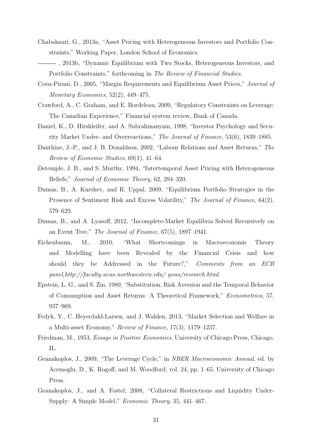- Chabakauri, G., 2013a, "Asset Pricing with Heterogeneous Investors and Portfolio Constraints," Working Paper, London School of Economics.
- , 2013b, "Dynamic Equilibrium with Two Stocks, Heterogeneous Investors, and Portfolio Constraints," forthcoming in The Review of Financial Studies.
- Coen-Pirani, D., 2005, "Margin Requirements and Equilibrium Asset Prices," Journal of Monetary Economics, 52(2), 449–475.
- Crawford, A., C. Graham, and E. Bordeleau, 2009, "Regulatory Constraints on Leverage: The Canadian Experience," Financial system review, Bank of Canada.
- Daniel, K., D. Hirshleifer, and A. Subrahmanyam, 1998, "Investor Psychology and Security Market Under- and Overreactions," The Journal of Finance, 53(6), 1839–1885.
- Danthine, J.-P., and J. B. Donaldson, 2002, "Labour Relations and Asset Returns," The Review of Economic Studies, 69(1), 41–64.
- Detemple, J. B., and S. Murthy, 1994, "Intertemporal Asset Pricing with Heterogeneous Beliefs," Journal of Economic Theory, 62, 294–320.
- Dumas, B., A. Kurshev, and R. Uppal, 2009, "Equilibrium Portfolio Strategies in the Presence of Sentiment Risk and Excess Volatility," The Journal of Finance, 64(2), 579–629.
- Dumas, B., and A. Lyasoff, 2012, "Incomplete-Market Equilibria Solved Recursively on an Event Tree," The Journal of Finance, 67(5), 1897–1941.
- Eichenbaum, M., 2010, "What Shortcomings in Macroeconomic Theory and Modelling have been Revealed by the Financial Crisis and how should they be Addressed in the Future?," Comments from an ECB panel,http://faculty.wcas.northwestern.edu/ yona/research.html.
- Epstein, L. G., and S. Zin, 1989, "Substitution, Risk Aversion and the Temporal Behavior of Consumption and Asset Returns: A Theoretical Framework," Econometrica, 57, 937–969.
- Fedyk, Y., C. Heyerdahl-Larsen, and J. Walden, 2013, "Market Selection and Welfare in a Multi-asset Economy," Review of Finance, 17(3), 1179–1237.
- Friedman, M., 1953, Essays in Positive Economics. University of Chicago Press, Chicago, IL.
- Geanakoplos, J., 2009, "The Leverage Cycle," in NBER Macroeconomic Annual, ed. by Acemoglu, D., K. Rogoff, and M. Woodford, vol. 24, pp. 1–65. University of Chicago Press.
- Geanakoplos, J., and A. Fostel, 2008, "Collateral Restrictions and Liquidity Under-Supply: A Simple Model," Economic Theory, 35, 441–467.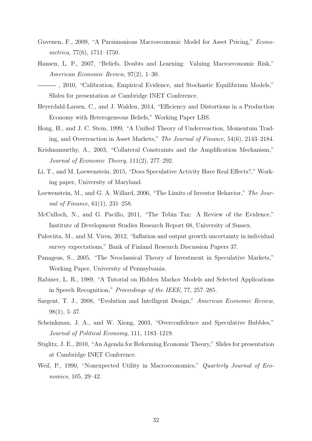- Guvenen, F., 2009, "A Parsimonious Macroeconomic Model for Asset Pricing," Econometrica,  $77(6)$ ,  $1711-1750$ .
- Hansen, L. P., 2007, "Beliefs, Doubts and Learning: Valuing Macroeconomic Risk," American Economic Review, 97(2), 1–30.

, 2010, "Calibration, Empirical Evidence, and Stochastic Equilibrium Models," Slides for presentation at Cambridge INET Conference.

- Heyerdahl-Larsen, C., and J. Walden, 2014, "Efficiency and Distortions in a Production Economy with Heterogeneous Beliefs," Working Paper LBS.
- Hong, H., and J. C. Stein, 1999, "A Unified Theory of Underreaction, Momentum Trading, and Overreaction in Asset Markets," The Journal of Finance, 54(6), 2143–2184.
- Krishnamurthy, A., 2003, "Collateral Constraints and the Amplification Mechanism," Journal of Economic Theory, 111(2), 277–292.
- Li, T., and M. Loewenstein, 2015, "Does Speculative Activity Have Real Effects?," Working paper, University of Maryland.
- Loewenstein, M., and G. A. Willard, 2006, "The Limits of Investor Behavior," The Journal of Finance, 61(1), 231–258.
- McCulloch, N., and G. Pacillo, 2011, "The Tobin Tax: A Review of the Evidence," Institute of Development Studies Research Report 68, University of Sussex.
- Paloviita, M., and M. Viren, 2012, "Inflation and output growth uncertainty in individual survey expectations," Bank of Finland Research Discussion Papers 37.
- Panageas, S., 2005, "The Neoclassical Theory of Investment in Speculative Markets," Working Paper, University of Pennsylvania.
- Rabiner, L. R., 1989, "A Tutorial on Hidden Markov Models and Selected Applications in Speech Recognition," Proceedings of the IEEE, 77, 257–285.
- Sargent, T. J., 2008, "Evolution and Intelligent Design," American Economic Review, 98(1), 5–37.
- Scheinkman, J. A., and W. Xiong, 2003, "Overconfidence and Speculative Bubbles," Journal of Political Economy, 111, 1183–1219.
- Stiglitz, J. E., 2010, "An Agenda for Reforming Economic Theory," Slides for presentation at Cambridge INET Conference.
- Weil, P., 1990, "Nonexpected Utility in Macroeconomics," Quarterly Journal of Economics, 105, 29–42.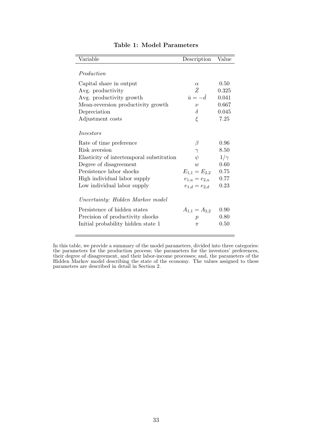| Variable                                 | Description          | Value      |
|------------------------------------------|----------------------|------------|
|                                          |                      |            |
| Production                               |                      |            |
| Capital share in output                  | $\alpha$             | 0.50       |
| Avg. productivity                        | $\bar{Z}$            | 0.325      |
| Avg. productivity growth                 | $\bar{u} = -\bar{d}$ | 0.041      |
| Mean-reversion productivity growth       | $\nu$                | 0.667      |
| Depreciation                             | $\delta$             | 0.045      |
| Adjustment costs                         | $\xi$                | 7.25       |
|                                          |                      |            |
| <i>Investors</i>                         |                      |            |
| Rate of time preference                  | β                    | 0.96       |
| Risk aversion                            | $\gamma$             | 8.50       |
| Elasticity of intertemporal substitution | $\psi$               | $1/\gamma$ |
| Degree of disagreement                   | w                    | 0.60       |
| Persistence labor shocks                 | $E_{1,1}=E_{2,2}$    | 0.75       |
| High individual labor supply             | $e_{1,u} = e_{2,u}$  | 0.77       |
| Low individual labor supply              | $e_{1,d} = e_{2,d}$  | 0.23       |
|                                          |                      |            |
| Uncertainty: Hidden Markov model         |                      |            |
| Persistence of hidden states             | $A_{1,1}=A_{2,2}$    | 0.90       |
| Precision of productivity shocks         | $\boldsymbol{p}$     | 0.80       |
| Initial probability hidden state 1       | $\pi$                | 0.50       |
|                                          |                      |            |

#### Table 1: Model Parameters

In this table, we provide a summary of the model parameters, divided into three categories: the parameters for the production process; the parameters for the investors' preferences, their degree of disagreement, and their labor-income processes; and, the parameters of the Hidden Markov model describing the state of the economy. The values assigned to these parameters are described in detail in Section 2.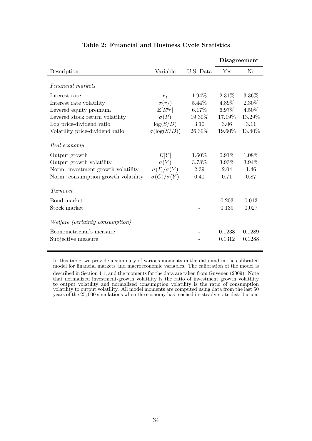|                                                                                                 |                                              |                         | <b>Disagreement</b>    |                           |
|-------------------------------------------------------------------------------------------------|----------------------------------------------|-------------------------|------------------------|---------------------------|
| Description                                                                                     | Variable                                     | U.S. Data               | Yes                    | N <sub>0</sub>            |
| Financial markets                                                                               |                                              |                         |                        |                           |
| Interest rate                                                                                   | $r_f$                                        | 1.94%                   | $2.31\%$               | 3.36\%                    |
| Interest rate volatility                                                                        | $\sigma(r_f)$                                | 5.44%                   | 4.89%                  | 2.30\%                    |
| Levered equity premium                                                                          | $\mathbb{E}[R^{ep}]$                         | 6.17%                   | 6.97%                  | 4.50%                     |
| Levered stock return volatility                                                                 | $\sigma(R)$                                  | 19.30\%                 | 17.19%                 | 13.29%                    |
| Log price-dividend ratio                                                                        | log(S/D)                                     | 3.10                    | 3.06                   | 3.11                      |
| Volatility price-dividend ratio                                                                 | $\sigma(\log(S/D))$                          | 26.30%                  | 19.60%                 | 13.40%                    |
| Real economy<br>Output growth<br>Output growth volatility<br>Norm. investment growth volatility | E[Y]<br>$\sigma(Y)$<br>$\sigma(I)/\sigma(Y)$ | 1.60\%<br>3.78%<br>2.39 | 0.91%<br>3.93%<br>2.04 | 1.08%<br>$3.94\%$<br>1.46 |
| Norm. consumption growth volatility                                                             | $\sigma(C)/\sigma(Y)$                        | 0.40                    | 0.71                   | 0.87                      |
| Turnover                                                                                        |                                              |                         |                        |                           |
| Bond market                                                                                     |                                              |                         | 0.203                  | 0.013                     |
| Stock market                                                                                    |                                              |                         | 0.139                  | 0.027                     |
| <i>Welfare (certainty consumption)</i>                                                          |                                              |                         |                        |                           |
| Econometrician's measure                                                                        |                                              |                         | 0.1238                 | 0.1289                    |
| Subjective measure                                                                              |                                              |                         | 0.1312                 | 0.1288                    |

#### Table 2: Financial and Business Cycle Statistics

In this table, we provide a summary of various moments in the data and in the calibrated model for financial markets and macroeconomic variables. The calibration of the model is

described in Section 4.1, and the moments for the data are taken from Guvenen (2009). Note that normalized investment-growth volatility is the ratio of investment growth volatility to output volatility and normalized consumption volatility is the ratio of consumption volatility to output volatility. All model moments are computed using data from the last 50 years of the 25, 000 simulations when the economy has reached its steady-state distribution.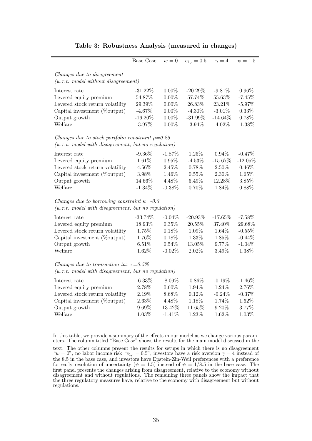|                                                                                                                        | Base Case  | $w=0$     | $e_{1,} = 0.5$ | $\gamma = 4$ | $\psi = 1.5$ |
|------------------------------------------------------------------------------------------------------------------------|------------|-----------|----------------|--------------|--------------|
| Changes due to disagreement                                                                                            |            |           |                |              |              |
| $(w.r.t. \ model \ without \ disagreement)$                                                                            |            |           |                |              |              |
| Interest rate                                                                                                          | $-31.22\%$ | $0.00\%$  | $-20.29%$      | $-9.81\%$    | $0.96\%$     |
| Levered equity premium                                                                                                 | 54.87%     | $0.00\%$  | 57.74%         | 55.63%       | $-7.45%$     |
| Levered stock return volatility                                                                                        | 29.39%     | $0.00\%$  | 26.83%         | 23.21%       | $-5.97%$     |
| Capital investment (%output)                                                                                           | $-4.67%$   | $0.00\%$  | $-4.30\%$      | $-3.01\%$    | 0.33%        |
| Output growth                                                                                                          | $-16.20\%$ | $0.00\%$  | $-31.99\%$     | $-14.64\%$   | 0.78%        |
| Welfare                                                                                                                | $-3.97\%$  | $0.00\%$  | $-3.94\%$      | $-4.02\%$    | $-1.38%$     |
| Changes due to stock portfolio constraint $\rho = 0.25$                                                                |            |           |                |              |              |
| $(w.r.t. \ model \ with \ disagreement, but \ no \ regulation)$                                                        |            |           |                |              |              |
| Interest rate                                                                                                          | $-9.36\%$  | $-1.87%$  | 1.25%          | $0.94\%$     | $-0.47%$     |
| Levered equity premium                                                                                                 | 1.61%      | 0.95%     | $-4.53%$       | $-15.67\%$   | $-12.05%$    |
| Levered stock return volatility                                                                                        | 4.56%      | 2.45%     | $0.78\%$       | 2.50%        | 0.46%        |
| Capital investment (%output)                                                                                           | 3.98%      | 1.46%     | 0.55%          | 2.30%        | 1.65%        |
| Output growth                                                                                                          | 14.66%     | 4.48%     | 5.49%          | 12.28%       | 3.85%        |
| Welfare                                                                                                                | $-1.34%$   | $-0.38%$  | 0.70%          | 1.84%        | 0.88%        |
| Changes due to borrowing constraint $\kappa = -0.3$<br>$(w.r.t. \ model \ with \ disagreement, but \ no \ regulation)$ |            |           |                |              |              |
| Interest rate                                                                                                          | $-33.74%$  | $-0.04%$  | $-20.93\%$     | $-17.65%$    | $-7.58\%$    |
| Levered equity premium                                                                                                 | 18.93%     | $0.35\%$  | 20.55%         | 37.40%       | 29.68%       |
| Levered stock return volatility                                                                                        | 1.75%      | 0.18%     | 1.09%          | 1.64%        | $-0.55%$     |
| Capital investment (%output)                                                                                           | 1.76%      | $0.18\%$  | 1.33%          | 1.85%        | $-0.44%$     |
| Output growth                                                                                                          | 6.51%      | 0.54%     | 13.05%         | 9.77%        | $-1.04%$     |
| Welfare                                                                                                                | 1.62%      | $-0.02%$  | 2.02%          | 3.49%        | 1.38%        |
| Changes due to transaction tax $\tau = 0.5\%$                                                                          |            |           |                |              |              |
| $(w.r.t. \ model \ with \ disagreement, but \ no \ regulation)$                                                        |            |           |                |              |              |
| Interest rate                                                                                                          | $-6.33\%$  | $-8.09\%$ | $-0.86\%$      | $-0.19%$     | $-1.46%$     |
| Levered equity premium                                                                                                 | 2.78%      | $0.60\%$  | 1.94%          | 1.24%        | 2.76%        |
| Levered stock return volatility                                                                                        | $2.19\%$   | 8.68%     | 0.12%          | $-0.24%$     | $-0.37%$     |
| Capital investment (%output)                                                                                           | 2.63%      | 4.48%     | 1.18%          | 1.74%        | 1.62%        |
| Output growth                                                                                                          | 9.69%      | 13.42%    | 11.65%         | 9.20%        | 3.77%        |
| Welfare                                                                                                                | 1.03%      | $-1.41%$  | 1.23%          | 1.62%        | 1.03%        |
|                                                                                                                        |            |           |                |              |              |
|                                                                                                                        |            |           |                |              |              |
| In this table, we provide a summary of the effects in our model as we change various param-                            |            |           |                |              |              |

#### Table 3: Robustness Analysis (measured in changes)

In this table, we provide a summary of the effects in our model as we change various parameters. The column titled "Base Case" shows the results for the main model discussed in the

text. The other columns present the results for setups in which there is no disagreement  $w = 0$ ", no labor income risk " $e_{1}$ : = 0.5", investors have a risk aversion  $\gamma = 4$  instead of the 8.5 in the base case, and investors have Epstein-Zin-Weil preferences with a preference for early resolution of uncertainty ( $\psi = 1.5$ ) instead of  $\psi = 1/8.5$  in the base case. The first panel presents the changes arising from disagreement, relative to the economy without disagreement and without regulations. The remaining three panels show the impact that the three regulatory measures have, relative to the economy with disagreement but without regulations.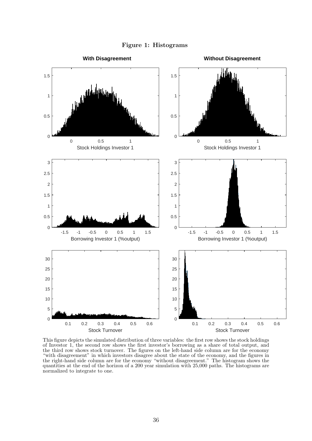

Figure 1: Histograms

This figure depicts the simulated distribution of three variables: the first row shows the stock holdings of Investor 1, the second row shows the first investor's borrowing as a share of total output, and the third row shows stock turnover. The figures on the left-hand side column are for the economy "with disagreement" in which investors disagree about the state of the economy, and the figures in the right-hand side column are for the economy "without disagreement." The histogram shows the quantities at the end of the horizon of a 200 year simulation with 25,000 paths. The histograms are normalized to integrate to one.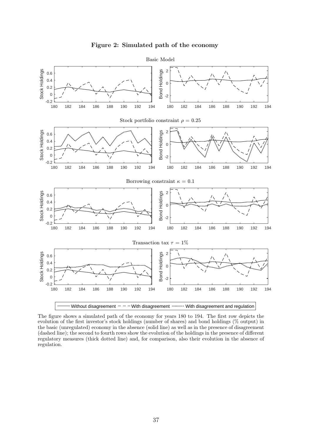

#### Figure 2: Simulated path of the economy

The figure shows a simulated path of the economy for years 180 to 194. The first row depicts the evolution of the first investor's stock holdings (number of shares) and bond holdings (% output) in the basic (unregulated) economy in the absence (solid line) as well as in the presence of disagreement (dashed line); the second to fourth rows show the evolution of the holdings in the presence of different regulatory measures (thick dotted line) and, for comparison, also their evolution in the absence of regulation.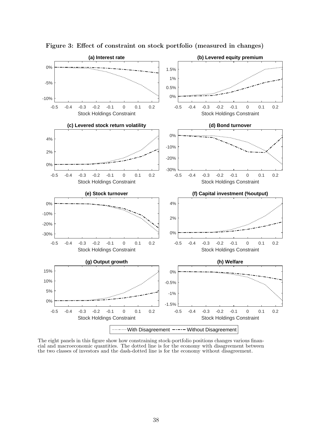

Figure 3: Effect of constraint on stock portfolio (measured in changes)

The eight panels in this figure show how constraining stock-portfolio positions changes various financial and macroeconomic quantities. The dotted line is for the economy with disagreement between the two classes of investors and the dash-dotted line is for the economy without disagreement.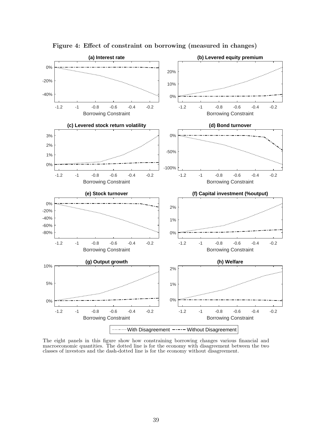

Figure 4: Effect of constraint on borrowing (measured in changes)

The eight panels in this figure show how constraining borrowing changes various financial and macroeconomic quantities. The dotted line is for the economy with disagreement between the two classes of investors and the dash-dotted line is for the economy without disagreement.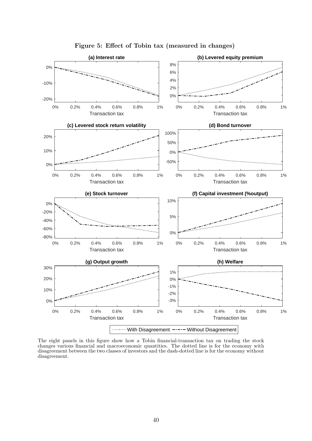

Figure 5: Effect of Tobin tax (measured in changes)

The eight panels in this figure show how a Tobin financial-transaction tax on trading the stock changes various financial and macroeconomic quantities. The dotted line is for the economy with disagreement between the two classes of investors and the dash-dotted line is for the economy without disagreement.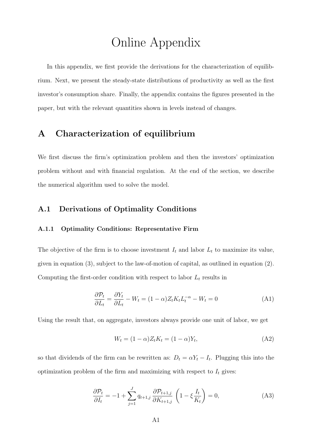## Online Appendix

In this appendix, we first provide the derivations for the characterization of equilibrium. Next, we present the steady-state distributions of productivity as well as the first investor's consumption share. Finally, the appendix contains the figures presented in the paper, but with the relevant quantities shown in levels instead of changes.

### A Characterization of equilibrium

We first discuss the firm's optimization problem and then the investors' optimization problem without and with financial regulation. At the end of the section, we describe the numerical algorithm used to solve the model.

### A.1 Derivations of Optimality Conditions

#### A.1.1 Optimality Conditions: Representative Firm

The objective of the firm is to choose investment  $I_t$  and labor  $L_t$  to maximize its value, given in equation (3), subject to the law-of-motion of capital, as outlined in equation (2). Computing the first-order condition with respect to labor  $L_t$  results in

$$
\frac{\partial \mathcal{P}_t}{\partial L_t} = \frac{\partial Y_t}{\partial L_t} - W_t = (1 - \alpha) Z_t K_t L_t^{-\alpha} - W_t = 0 \tag{A1}
$$

Using the result that, on aggregate, investors always provide one unit of labor, we get

$$
W_t = (1 - \alpha)Z_t K_t = (1 - \alpha)Y_t,
$$
\n(A2)

so that dividends of the firm can be rewritten as:  $D_t = \alpha Y_t - I_t$ . Plugging this into the optimization problem of the firm and maximizing with respect to  $I_t$  gives:

$$
\frac{\partial \mathcal{P}_t}{\partial I_t} = -1 + \sum_{j=1}^J q_{t+1,j} \frac{\partial \mathcal{P}_{t+1,j}}{\partial K_{t+1,j}} \left( 1 - \xi \frac{I_t}{K_t} \right) = 0,\tag{A3}
$$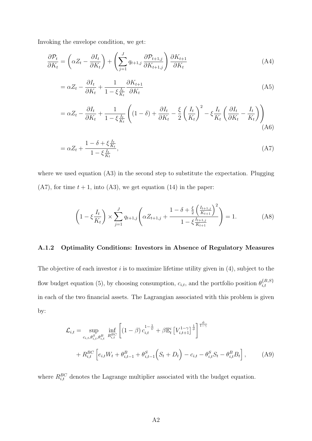Invoking the envelope condition, we get:

$$
\frac{\partial \mathcal{P}_t}{\partial K_t} = \left(\alpha Z_t - \frac{\partial I_t}{\partial K_t}\right) + \left(\sum_{j=1}^J q_{t+1,j} \frac{\partial \mathcal{P}_{t+1,j}}{\partial K_{t+1,j}}\right) \frac{\partial K_{t+1}}{\partial K_t} \tag{A4}
$$

$$
= \alpha Z_t - \frac{\partial I_t}{\partial K_t} + \frac{1}{1 - \xi \frac{I_t}{K_t}} \frac{\partial K_{t+1}}{\partial K_t}
$$
\n(A5)

$$
= \alpha Z_t - \frac{\partial I_t}{\partial K_t} + \frac{1}{1 - \xi \frac{I_t}{K_t}} \left( (1 - \delta) + \frac{\partial I_t}{\partial K_t} - \frac{\xi}{2} \left( \frac{I_t}{K_t} \right)^2 - \xi \frac{I_t}{K_t} \left( \frac{\partial I_t}{\partial K_t} - \frac{I_t}{K_t} \right) \right)
$$
(A6)

$$
= \alpha Z_t + \frac{1 - \delta + \xi \frac{I_t}{K_t}}{1 - \xi \frac{I_t}{K_t}},
$$
\n(A7)

where we used equation  $(A3)$  in the second step to substitute the expectation. Plugging  $(A7)$ , for time  $t + 1$ , into  $(A3)$ , we get equation  $(14)$  in the paper:

$$
\left(1 - \xi \frac{I_t}{K_t}\right) \times \sum_{j=1}^J q_{t+1,j} \left(\alpha Z_{t+1,j} + \frac{1 - \delta + \frac{\xi}{2} \left(\frac{I_{t+1,j}}{K_{t+1}}\right)^2}{1 - \xi \frac{I_{t+1,j}}{K_{t+1}}}\right) = 1.
$$
 (A8)

#### A.1.2 Optimality Conditions: Investors in Absence of Regulatory Measures

The objective of each investor  $i$  is to maximize lifetime utility given in  $(4)$ , subject to the flow budget equation (5), by choosing consumption,  $c_{i,t}$ , and the portfolio position  $\theta_{i,t}^{\{B,S\}}$ i,t in each of the two financial assets. The Lagrangian associated with this problem is given by:

$$
\mathcal{L}_{i,t} = \sup_{c_{i,t}, \theta_{i,t}^{S}, \theta_{i,t}^{B}} \inf_{R_{i,t}^{BC}} \left[ (1 - \beta) c_{i,t}^{1 - \frac{1}{\psi}} + \beta \mathbb{E}_{t}^{i} \left[ V_{i,t+1}^{1 - \gamma} \right]^{\frac{1}{\phi}} \right]^{\frac{\phi}{1 - \gamma}}
$$
  
+ 
$$
R_{i,t}^{BC} \left[ e_{i,t} W_{t} + \theta_{i,t-1}^{B} + \theta_{i,t-1}^{S} \left( S_{t} + D_{t} \right) - c_{i,t} - \theta_{i,t}^{S} S_{t} - \theta_{i,t}^{B} B_{t} \right], \tag{A9}
$$

where  $R_{i,t}^{BC}$  denotes the Lagrange multiplier associated with the budget equation.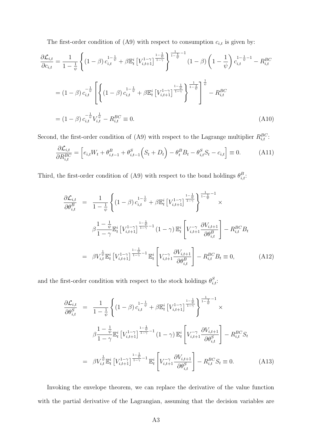The first-order condition of (A9) with respect to consumption  $c_{i,t}$  is given by:

$$
\frac{\partial \mathcal{L}_{i,t}}{\partial c_{i,t}} = \frac{1}{1 - \frac{1}{\psi}} \left\{ (1 - \beta) c_{i,t}^{1 - \frac{1}{\psi}} + \beta \mathbb{E}_{t}^{i} \left[ V_{i,t+1}^{1 - \gamma} \right]^{\frac{1 - \frac{1}{\psi}}{1 - \gamma}} \right\}^{\frac{1}{1 - \frac{1}{\psi}} - 1} (1 - \beta) \left( 1 - \frac{1}{\psi} \right) c_{i,t}^{1 - \frac{1}{\psi} - 1} - R_{i,t}^{BC}
$$
\n
$$
= (1 - \beta) c_{i,t}^{-\frac{1}{\psi}} \left[ \left\{ (1 - \beta) c_{i,t}^{1 - \frac{1}{\psi}} + \beta \mathbb{E}_{t}^{i} \left[ V_{i,t+1}^{1 - \gamma} \right]^{\frac{1 - \frac{1}{\psi}}{1 - \gamma}} \right\}^{\frac{1}{\psi} - \frac{1}{\psi}} - R_{i,t}^{BC}
$$
\n
$$
= (1 - \beta) c_{i,t}^{-\frac{1}{\psi}} V_{i,t}^{\frac{1}{\psi}} - R_{i,t}^{BC} \equiv 0. \tag{A10}
$$

Second, the first-order condition of (A9) with respect to the Lagrange multiplier  $R_{i,t}^{BC}$ :

$$
\frac{\partial \mathcal{L}_{i,t}}{\partial R_{i,t}^{BC}} = \left[ e_{i,t} W_t + \theta_{i,t-1}^B + \theta_{i,t-1}^S \left( S_t + D_t \right) - \theta_t^B B_t - \theta_{i,t}^S S_t - c_{i,t} \right] \equiv 0. \tag{A11}
$$

Third, the first-order condition of (A9) with respect to the bond holdings  $\theta_{i,t}^B$ .

$$
\frac{\partial \mathcal{L}_{i,t}}{\partial \theta_{i,t}^B} = \frac{1}{1 - \frac{1}{\psi}} \left\{ (1 - \beta) c_{i,t}^{1 - \frac{1}{\psi}} + \beta \mathbb{E}_t^i \left[ V_{i,t+1}^{1 - \gamma} \right]_{\frac{1 - \frac{1}{\psi}}{1 - \gamma}}^{\frac{1 - \frac{1}{\psi}}{1 - \frac{\gamma}{\psi}}} \right\}^{\frac{1}{1 - \frac{1}{\psi}} - 1} \times \n\beta \frac{1 - \frac{1}{\psi}}{1 - \gamma} \mathbb{E}_t^i \left[ V_{i,t+1}^{1 - \gamma} \right]_{\frac{1 - \frac{1}{\psi}}{1 - \gamma} - 1}^{\frac{1 - \frac{1}{\psi}}{1 - \gamma} - 1} (1 - \gamma) \mathbb{E}_t^i \left[ V_{i,t+1}^{-\gamma} \frac{\partial V_{i,t+1}}{\partial \theta_{i,t}^B} \right] - R_{i,t}^{BC} B_t \n= \beta V_{i,t}^{\frac{1}{\psi}} \mathbb{E}_t^i \left[ V_{i,t+1}^{1 - \gamma} \right]_{\frac{1 - \gamma}{1 - \gamma} - 1}^{\frac{1 - \frac{1}{\psi}}{1 - \frac{\gamma}{\psi} - 1}} \mathbb{E}_t^i \left[ V_{i,t+1}^{-\gamma} \frac{\partial V_{i,t+1}}{\partial \theta_{i,t}^B} \right] - R_{i,t}^{BC} B_t \equiv 0,
$$
\n(A12)

and the first-order condition with respect to the stock holdings  $\theta_{i,t}^S$ .

$$
\frac{\partial \mathcal{L}_{i,t}}{\partial \theta_{i,t}^{S}} = \frac{1}{1 - \frac{1}{\psi}} \left\{ (1 - \beta) c_{i,t}^{1 - \frac{1}{\psi}} + \beta \mathbb{E}_{t}^{i} \left[ V_{i,t+1}^{1 - \gamma} \right]^{\frac{1 - \frac{1}{\psi}}{1 - \gamma}} \right\}^{\frac{1}{1 - \frac{1}{\psi}}} \times \n\beta \frac{1 - \frac{1}{\psi}}{1 - \gamma} \mathbb{E}_{t}^{i} \left[ V_{i,t+1}^{1 - \gamma} \right]^{\frac{1 - \frac{1}{\psi}}{1 - \gamma} - 1} (1 - \gamma) \mathbb{E}_{t}^{i} \left[ V_{i,t+1}^{-\gamma} \frac{\partial V_{i,t+1}}{\partial \theta_{i,t}^{S}} \right] - R_{i,t}^{BC} S_{t} \n= \beta V_{i,t}^{\frac{1}{\psi}} \mathbb{E}_{t}^{i} \left[ V_{i,t+1}^{1 - \gamma} \right]^{\frac{1 - \frac{1}{\psi}}{1 - \gamma} - 1} \mathbb{E}_{t}^{i} \left[ V_{i,t+1}^{-\gamma} \frac{\partial V_{i,t+1}}{\partial \theta_{i,t}^{S}} \right] - R_{i,t}^{BC} S_{t} \equiv 0.
$$
\n(A13)

Invoking the envelope theorem, we can replace the derivative of the value function with the partial derivative of the Lagrangian, assuming that the decision variables are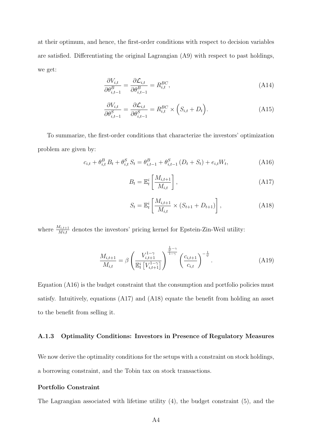at their optimum, and hence, the first-order conditions with respect to decision variables are satisfied. Differentiating the original Lagrangian (A9) with respect to past holdings, we get:

$$
\frac{\partial V_{i,t}}{\partial \theta_{i,t-1}^B} = \frac{\partial \mathcal{L}_{i,t}}{\partial \theta_{i,t-1}^B} = R_{i,t}^{BC},\tag{A14}
$$

$$
\frac{\partial V_{i,t}}{\partial \theta_{i,t-1}^S} = \frac{\partial \mathcal{L}_{i,t}}{\partial \theta_{i,t-1}^S} = R_{i,t}^{BC} \times \left( S_{i,t} + D_t \right). \tag{A15}
$$

To summarize, the first-order conditions that characterize the investors' optimization problem are given by:

$$
c_{i,t} + \theta_{i,t}^B B_t + \theta_{i,t}^S S_t = \theta_{i,t-1}^B + \theta_{i,t-1}^S (D_t + S_t) + e_{i,t} W_t,
$$
\n(A16)

$$
B_t = \mathbb{E}_t^i \left[ \frac{M_{i,t+1}}{M_{i,t}} \right], \tag{A17}
$$

$$
S_t = \mathbb{E}_t^i \left[ \frac{M_{i,t+1}}{M_{i,t}} \times (S_{t+1} + D_{t+1}) \right],
$$
 (A18)

where  $\frac{M_{i,t+1}}{M_{i,t}}$  denotes the investors' pricing kernel for Epstein-Zin-Weil utility:

$$
\frac{M_{i,t+1}}{M_{i,t}} = \beta \left( \frac{V_{i,t+1}^{1-\gamma}}{\mathbb{E}_t^i \left[ V_{i,t+1}^{1-\gamma} \right]} \right)^{\frac{1}{1-\gamma}} \left( \frac{c_{i,t+1}}{c_{i,t}} \right)^{-\frac{1}{\psi}}.
$$
\n(A19)

Equation (A16) is the budget constraint that the consumption and portfolio policies must satisfy. Intuitively, equations (A17) and (A18) equate the benefit from holding an asset to the benefit from selling it.

#### A.1.3 Optimality Conditions: Investors in Presence of Regulatory Measures

We now derive the optimality conditions for the setups with a constraint on stock holdings, a borrowing constraint, and the Tobin tax on stock transactions.

#### Portfolio Constraint

The Lagrangian associated with lifetime utility (4), the budget constraint (5), and the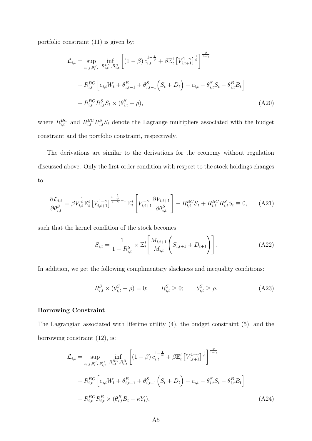portfolio constraint (11) is given by:

$$
\mathcal{L}_{i,t} = \sup_{c_{i,t}, \theta_{i,t}^{S}} \inf_{R_{i,t}^{BC}, R_{i,t}^{S}} \left[ (1 - \beta) c_{i,t}^{1 - \frac{1}{\psi}} + \beta \mathbb{E}_{t}^{i} \left[ V_{i,t+1}^{1 - \gamma} \right]^{\frac{1}{\phi}} \right]^{\frac{\phi}{1 - \gamma}}
$$
  
+  $R_{i,t}^{BC} \left[ e_{i,t} W_{t} + \theta_{i,t-1}^{B} + \theta_{i,t-1}^{S} \left( S_{t} + D_{t} \right) - c_{i,t} - \theta_{i,t}^{S} S_{t} - \theta_{i,t}^{B} B_{t} \right]$   
+  $R_{i,t}^{BC} R_{i,t}^{S} S_{t} \times (\theta_{i,t}^{S} - \rho),$  (A20)

where  $R_{i,t}^{BC}$  and  $R_{i,t}^{BC}R_{i,t}^{S}S_t$  denote the Lagrange multipliers associated with the budget constraint and the portfolio constraint, respectively.

The derivations are similar to the derivations for the economy without regulation discussed above. Only the first-order condition with respect to the stock holdings changes to:

$$
\frac{\partial \mathcal{L}_{i,t}}{\partial \theta_{i,t}^S} = \beta V_{i,t}^{\frac{1}{\psi}} \mathbb{E}_t^i \left[ V_{i,t+1}^{1-\frac{\gamma}{1-\gamma}} \right]_{\frac{1-\gamma}{1-\gamma}}^{\frac{1-\frac{1}{\psi}}{1-\gamma}} \mathbb{E}_t^i \left[ V_{i,t+1}^{-\gamma} \frac{\partial V_{i,t+1}}{\partial \theta_{i,t}^S} \right] - R_{i,t}^{BC} S_t + R_{i,t}^{BC} R_{i,t}^S S_t \equiv 0, \tag{A21}
$$

such that the kernel condition of the stock becomes

$$
S_{i,t} = \frac{1}{1 - R_{i,t}^S} \times \mathbb{E}_t^i \left[ \frac{M_{i,t+1}}{M_{i,t}} \left( S_{i,t+1} + D_{t+1} \right) \right]. \tag{A22}
$$

In addition, we get the following complimentary slackness and inequality conditions:

$$
R_{i,t}^{S} \times (\theta_{i,t}^{S} - \rho) = 0; \qquad R_{i,t}^{S} \ge 0; \qquad \theta_{i,t}^{S} \ge \rho.
$$
 (A23)

#### Borrowing Constraint

The Lagrangian associated with lifetime utility (4), the budget constraint (5), and the borrowing constraint (12), is:

$$
\mathcal{L}_{i,t} = \sup_{c_{i,t}, \theta_{i,t}^{S}, \theta_{i,t}^{B}} \inf_{R_{i,t}^{BC}, R_{i,t}^{B}} \left[ (1 - \beta) c_{i,t}^{1 - \frac{1}{\psi}} + \beta \mathbb{E}_{t}^{i} \left[ V_{i,t+1}^{1 - \gamma} \right]^{\frac{1}{\phi}} \right]^{\frac{\phi}{1 - \gamma}}
$$
  
+  $R_{i,t}^{BC} \left[ e_{i,t} W_{t} + \theta_{i,t-1}^{B} + \theta_{i,t-1}^{S} \left( S_{t} + D_{t} \right) - c_{i,t} - \theta_{i,t}^{S} S_{t} - \theta_{i,t}^{B} B_{t} \right]$   
+  $R_{i,t}^{BC} R_{i,t}^{B} \times (\theta_{i,t}^{B} B_{t} - \kappa Y_{t}),$  (A24)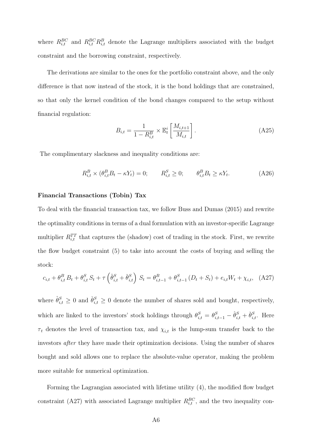where  $R_{i,t}^{BC}$  and  $R_{i,t}^{BC}R_{i,t}^{B}$  denote the Lagrange multipliers associated with the budget constraint and the borrowing constraint, respectively.

The derivations are similar to the ones for the portfolio constraint above, and the only difference is that now instead of the stock, it is the bond holdings that are constrained, so that only the kernel condition of the bond changes compared to the setup without financial regulation:

$$
B_{i,t} = \frac{1}{1 - R_{i,t}^B} \times \mathbb{E}_t^i \left[ \frac{M_{i,t+1}}{M_{i,t}} \right].
$$
 (A25)

The complimentary slackness and inequality conditions are:

$$
R_{i,t}^B \times (\theta_{i,t}^B B_t - \kappa Y_t) = 0; \qquad R_{i,t}^S \ge 0; \qquad \theta_{i,t}^B B_t \ge \kappa Y_t.
$$
 (A26)

#### Financial Transactions (Tobin) Tax

To deal with the financial transaction tax, we follow Buss and Dumas (2015) and rewrite the optimality conditions in terms of a dual formulation with an investor-specific Lagrange multiplier  $R_{i,t}^{TT}$  that captures the (shadow) cost of trading in the stock. First, we rewrite the flow budget constraint (5) to take into account the costs of buying and selling the stock:

$$
c_{i,t} + \theta_{i,t}^B B_t + \theta_{i,t}^S S_t + \tau \left( \hat{\theta}_{i,t}^S + \check{\theta}_{i,t}^S \right) S_t = \theta_{i,t-1}^B + \theta_{i,t-1}^S (D_t + S_t) + e_{i,t} W_t + \chi_{i,t}, \quad (A27)
$$

where  $\hat{\theta}_{i,t}^S \geq 0$  and  $\check{\theta}_{i,t}^S \geq 0$  denote the number of shares sold and bought, respectively, which are linked to the investors' stock holdings through  $\theta_{i,t}^S = \theta_{i,t-1}^S - \hat{\theta}_{i,t}^S + \check{\theta}_{i,t}^S$ . Here  $\tau_t$  denotes the level of transaction tax, and  $\chi_{i,t}$  is the lump-sum transfer back to the investors after they have made their optimization decisions. Using the number of shares bought and sold allows one to replace the absolute-value operator, making the problem more suitable for numerical optimization.

Forming the Lagrangian associated with lifetime utility (4), the modified flow budget constraint (A27) with associated Lagrange multiplier  $R_{i,t}^{BC}$ , and the two inequality con-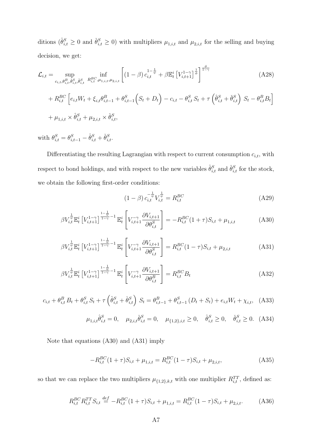ditions  $(\hat{\theta}_{i,t}^S \geq 0$  and  $\check{\theta}_{i,t}^S \geq 0)$  with multipliers  $\mu_{1,i,t}$  and  $\mu_{2,i,t}$  for the selling and buying decision, we get:

$$
\mathcal{L}_{i,t} = \sup_{c_{i,t}, \theta_{i,t}^{B}, \tilde{\theta}_{i,t}^{S}, \theta_{i,t}^{S}} \inf_{R_{i,t}^{BC}, \mu_{1,i,t}, \mu_{2,i,t}^{B}} \left[ (1 - \beta) c_{i,t}^{1 - \frac{1}{\psi}} + \beta \mathbb{E}_{t}^{i} \left[ V_{i,t+1}^{1 - \gamma} \right]^{\frac{1}{\psi}} \right]^{\frac{\phi}{1 - \gamma}}
$$
\n
$$
+ R_{i,t}^{BC} \left[ e_{i,t} W_{t} + \xi_{i,t} \theta_{i,t-1}^{B} + \theta_{i,t-1}^{S} \left( S_{t} + D_{t} \right) - c_{i,t} - \theta_{i,t}^{S} S_{t} + \tau \left( \hat{\theta}_{i,t}^{S} + \check{\theta}_{i,t}^{S} \right) S_{t} - \theta_{i,t}^{B} B_{t} \right]
$$
\n
$$
+ \mu_{1,i,t} \times \hat{\theta}_{i,t}^{S} + \mu_{2,i,t} \times \check{\theta}_{i,t}^{S},
$$
\n
$$
(A28)
$$

with  $\theta_{i,t}^S = \theta_{i,t-1}^S - \hat{\theta}_{i,t}^S + \check{\theta}_{i,t}^S$ .

Differentiating the resulting Lagrangian with respect to current consumption  $c_{i,t}$ , with respect to bond holdings, and with respect to the new variables  $\hat{\theta}_{i,t}^S$  and  $\check{\theta}_{i,t}^S$  for the stock, we obtain the following first-order conditions:

$$
(1 - \beta) c_{i,t}^{-\frac{1}{\psi}} V_{i,t}^{\frac{1}{\psi}} = R_{i,t}^{BC}
$$
 (A29)

$$
\beta V_{i,t}^{\frac{1}{\psi}} \mathbb{E}_{t}^{i} \left[ V_{i,t+1}^{1-\gamma} \right]^{\frac{1-\frac{1}{\psi}}{1-\gamma}-1} \mathbb{E}_{t}^{i} \left[ V_{i,t+1}^{-\gamma} \frac{\partial V_{i,t+1}}{\partial \theta_{i,t}^{S}} \right] = -R_{i,t}^{BC} (1+\tau) S_{i,t} + \mu_{1,i,t}
$$
(A30)

$$
\beta V_{i,t}^{\frac{1}{\psi}} \mathbb{E}_{t}^{i} \left[ V_{i,t+1}^{1-\gamma} \right]^{\frac{1-\frac{1}{\psi}}{1-\gamma}-1} \mathbb{E}_{t}^{i} \left[ V_{i,t+1}^{-\gamma} \frac{\partial V_{i,t+1}}{\partial \theta_{i,t}^{S}} \right] = R_{i,t}^{BC} (1-\tau) S_{i,t} + \mu_{2,i,t}
$$
(A31)

$$
\beta V_{i,t}^{\frac{1}{\psi}} \mathbb{E}_t^i \left[ V_{i,t+1}^{1-\gamma} \right]^{\frac{1-\frac{1}{\psi}}{1-\gamma}-1} \mathbb{E}_t^i \left[ V_{i,t+1}^{-\gamma} \frac{\partial V_{i,t+1}}{\partial \theta_{i,t}^B} \right] = R_{i,t}^{BC} B_t \tag{A32}
$$

$$
c_{i,t} + \theta_{i,t}^{B} B_{t} + \theta_{i,t}^{S} S_{t} + \tau \left(\hat{\theta}_{i,t}^{S} + \check{\theta}_{i,t}^{S}\right) S_{t} = \theta_{i,t-1}^{B} + \theta_{i,t-1}^{S} (D_{t} + S_{t}) + e_{i,t} W_{t} + \chi_{i,t}, \quad (A33)
$$

$$
\mu_{1,i,t}\hat{\theta}_{i,t}^{S} = 0, \quad \mu_{2,i,t}\check{\theta}_{i,t}^{S} = 0, \quad \mu_{\{1,2\},i,t} \ge 0, \quad \hat{\theta}_{i,t}^{S} \ge 0, \quad \check{\theta}_{i,t}^{S} \ge 0. \quad (A34)
$$

Note that equations (A30) and (A31) imply

$$
-R_{i,t}^{BC}(1+\tau)S_{i,t} + \mu_{1,i,t} = R_{i,t}^{BC}(1-\tau)S_{i,t} + \mu_{2,i,t},
$$
\n(A35)

so that we can replace the two multipliers  $\mu_{\{1,2\},k,t}$  with one multiplier  $R_{i,t}^{TT}$ , defined as:

$$
R_{i,t}^{BC} R_{i,t}^{TT} S_{i,t} \stackrel{def}{=} -R_{i,t}^{BC} (1+\tau) S_{i,t} + \mu_{1,i,t} = R_{i,t}^{BC} (1-\tau) S_{i,t} + \mu_{2,i,t}.
$$
 (A36)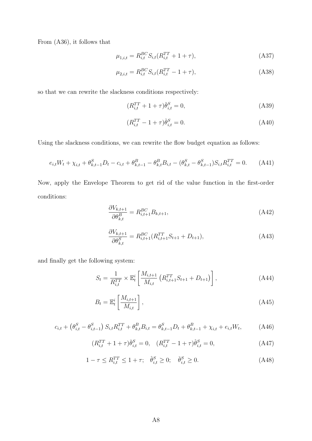From (A36), it follows that

$$
\mu_{1,i,t} = R_{i,t}^{BC} S_{i,t} (R_{i,t}^{TT} + 1 + \tau), \tag{A37}
$$

$$
\mu_{2,i,t} = R_{i,t}^{BC} S_{i,t} (R_{i,t}^{TT} - 1 + \tau), \tag{A38}
$$

so that we can rewrite the slackness conditions respectively:

$$
(R_{i,t}^{TT} + 1 + \tau)\check{\theta}_{i,t}^S = 0,
$$
\n(A39)

$$
(R_{i,t}^{TT} - 1 + \tau)\hat{\theta}_{i,t}^S = 0.
$$
 (A40)

Using the slackness conditions, we can rewrite the flow budget equation as follows:

$$
e_{i,t}W_t + \chi_{i,t} + \theta_{k,t-1}^S D_t - c_{i,t} + \theta_{k,t-1}^B - \theta_{k,t}^B B_{i,t} - (\theta_{k,t}^S - \theta_{k,t-1}^S) S_{i,t} R_{i,t}^{TT} = 0.
$$
 (A41)

Now, apply the Envelope Theorem to get rid of the value function in the first-order conditions:

$$
\frac{\partial V_{k,t+1}}{\partial \theta_{k,t}^B} = R_{i,t+1}^{BC} B_{k,t+1},\tag{A42}
$$

$$
\frac{\partial V_{k,t+1}}{\partial \theta_{k,t}^S} = R_{i,t+1}^{BC} (R_{i,t+1}^{TT} S_{t+1} + D_{t+1}), \tag{A43}
$$

and finally get the following system:

$$
S_t = \frac{1}{R_{i,t}^{TT}} \times \mathbb{E}_t^i \left[ \frac{M_{i,t+1}}{M_{i,t}} \left( R_{i,t+1}^{TT} S_{t+1} + D_{t+1} \right) \right], \tag{A44}
$$

$$
B_t = \mathbb{E}_t^i \left[ \frac{M_{i,t+1}}{M_{i,t}} \right], \tag{A45}
$$

$$
c_{i,t} + \left(\theta_{i,t}^S - \theta_{i,t-1}^S\right) S_{i,t} R_{i,t}^{TT} + \theta_{k,t}^B B_{i,t} = \theta_{k,t-1}^S D_t + \theta_{k,t-1}^B + \chi_{i,t} + e_{i,t} W_t,
$$
 (A46)

$$
(R_{i,t}^{TT} + 1 + \tau)\check{\theta}_{i,t}^{S} = 0, \quad (R_{i,t}^{TT} - 1 + \tau)\hat{\theta}_{i,t}^{S} = 0,
$$
 (A47)

$$
1 - \tau \le R_{i,t}^{TT} \le 1 + \tau; \quad \hat{\theta}_{i,t}^{S} \ge 0; \quad \check{\theta}_{i,t}^{S} \ge 0.
$$
 (A48)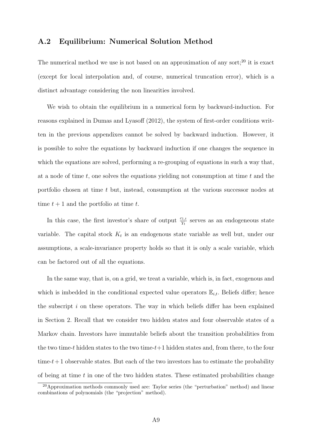### A.2 Equilibrium: Numerical Solution Method

The numerical method we use is not based on an approximation of any sort; $^{20}$  it is exact (except for local interpolation and, of course, numerical truncation error), which is a distinct advantage considering the non linearities involved.

We wish to obtain the equilibrium in a numerical form by backward-induction. For reasons explained in Dumas and Lyasoff (2012), the system of first-order conditions written in the previous appendixes cannot be solved by backward induction. However, it is possible to solve the equations by backward induction if one changes the sequence in which the equations are solved, performing a re-grouping of equations in such a way that, at a node of time t, one solves the equations yielding not consumption at time t and the portfolio chosen at time t but, instead, consumption at the various successor nodes at time  $t + 1$  and the portfolio at time t.

In this case, the first investor's share of output  $\frac{c_{1,t}}{Y_t}$  serves as an endogeneous state variable. The capital stock  $K_t$  is an endogenous state variable as well but, under our assumptions, a scale-invariance property holds so that it is only a scale variable, which can be factored out of all the equations.

In the same way, that is, on a grid, we treat a variable, which is, in fact, exogenous and which is imbedded in the conditional expected value operators  $\mathbb{E}_{i,t}$ . Beliefs differ; hence the subscript  $i$  on these operators. The way in which beliefs differ has been explained in Section 2. Recall that we consider two hidden states and four observable states of a Markov chain. Investors have immutable beliefs about the transition probabilities from the two time-t hidden states to the two time- $t+1$  hidden states and, from there, to the four time- $t+1$  observable states. But each of the two investors has to estimate the probability of being at time  $t$  in one of the two hidden states. These estimated probabilities change

<sup>20</sup>Approximation methods commonly used are: Taylor series (the "perturbation" method) and linear combinations of polynomials (the "projection" method).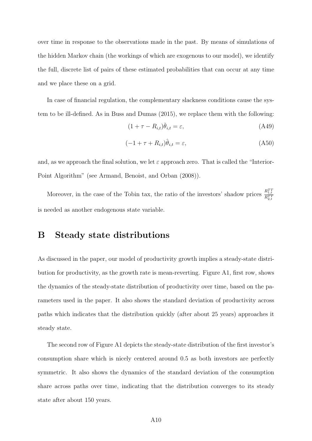over time in response to the observations made in the past. By means of simulations of the hidden Markov chain (the workings of which are exogenous to our model), we identify the full, discrete list of pairs of these estimated probabilities that can occur at any time and we place these on a grid.

In case of financial regulation, the complementary slackness conditions cause the system to be ill-defined. As in Buss and Dumas (2015), we replace them with the following:

$$
(1 + \tau - R_{i,t})\check{\theta}_{i,t} = \varepsilon,\tag{A49}
$$

$$
(-1 + \tau + R_{i,t})\hat{\theta}_{i,t} = \varepsilon,\tag{A50}
$$

and, as we approach the final solution, we let  $\varepsilon$  approach zero. That is called the "Interior-Point Algorithm" (see Armand, Benoist, and Orban (2008)).

Moreover, in the case of the Tobin tax, the ratio of the investors' shadow prices  $\frac{R_{1,t}^{TT}}{R_{2,t}^{TT}}$ is needed as another endogenous state variable.

### B Steady state distributions

As discussed in the paper, our model of productivity growth implies a steady-state distribution for productivity, as the growth rate is mean-reverting. Figure A1, first row, shows the dynamics of the steady-state distribution of productivity over time, based on the parameters used in the paper. It also shows the standard deviation of productivity across paths which indicates that the distribution quickly (after about 25 years) approaches it steady state.

The second row of Figure A1 depicts the steady-state distribution of the first investor's consumption share which is nicely centered around 0.5 as both investors are perfectly symmetric. It also shows the dynamics of the standard deviation of the consumption share across paths over time, indicating that the distribution converges to its steady state after about 150 years.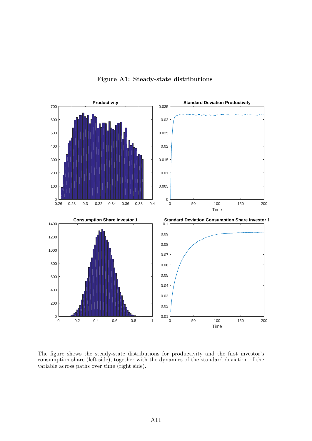

The figure shows the steady-state distributions for productivity and the first investor's consumption share (left side), together with the dynamics of the standard deviation of the variable across paths over time (right side).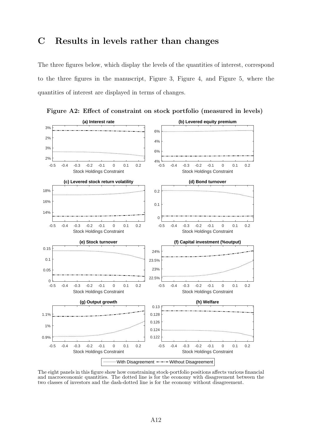### C Results in levels rather than changes

The three figures below, which display the levels of the quantities of interest, correspond to the three figures in the manuscript, Figure 3, Figure 4, and Figure 5, where the quantities of interest are displayed in terms of changes.





The eight panels in this figure show how constraining stock-portfolio positions affects various financial and macroeconomic quantities. The dotted line is for the economy with disagreement between the two classes of investors and the dash-dotted line is for the economy without disagreement.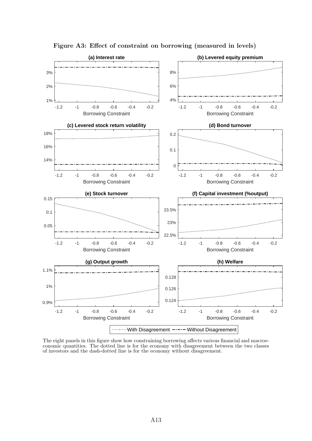

Figure A3: Effect of constraint on borrowing (measured in levels)

The eight panels in this figure show how constraining borrowing affects various financial and macroeconomic quantities. The dotted line is for the economy with disagreement between the two classes of investors and the dash-dotted line is for the economy without disagreement.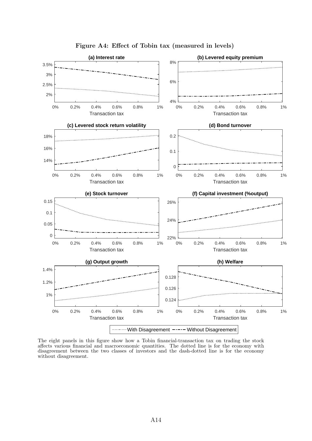

#### Figure A4: Effect of Tobin tax (measured in levels)

The eight panels in this figure show how a Tobin financial-transaction tax on trading the stock affects various financial and macroeconomic quantities. The dotted line is for the economy with disagreement between the two classes of investors and the dash-dotted line is for the economy without disagreement.